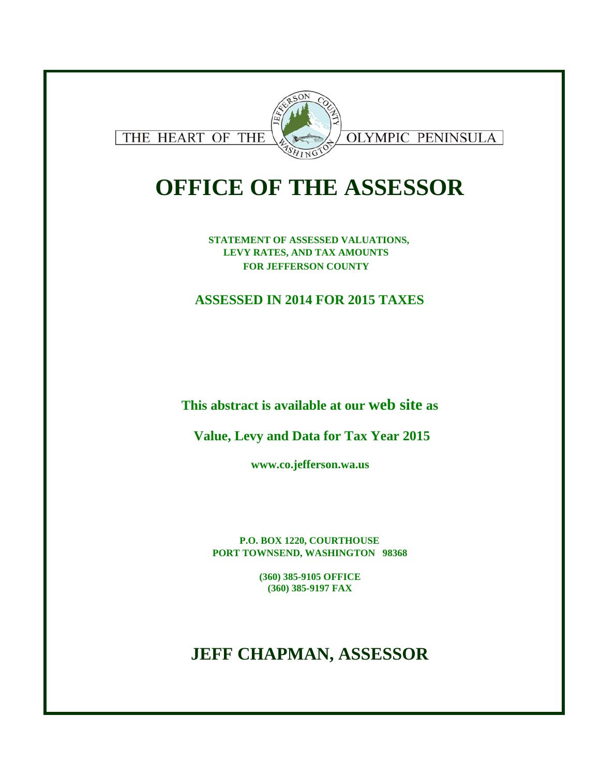

# **OFFICE OF THE ASSESSOR**

**STATEMENT OF ASSESSED VALUATIONS, LEVY RATES, AND TAX AMOUNTS FOR JEFFERSON COUNTY** 

## **ASSESSED IN 2014 FOR 2015 TAXES**

**This abstract is available at our web site as**

**Value, Levy and Data for Tax Year 2015**

**www.co.jefferson.wa.us**

**P.O. BOX 1220, COURTHOUSE PORT TOWNSEND, WASHINGTON 98368**

> **(360) 385-9105 OFFICE (360) 385-9197 FAX**

## **JEFF CHAPMAN, ASSESSOR**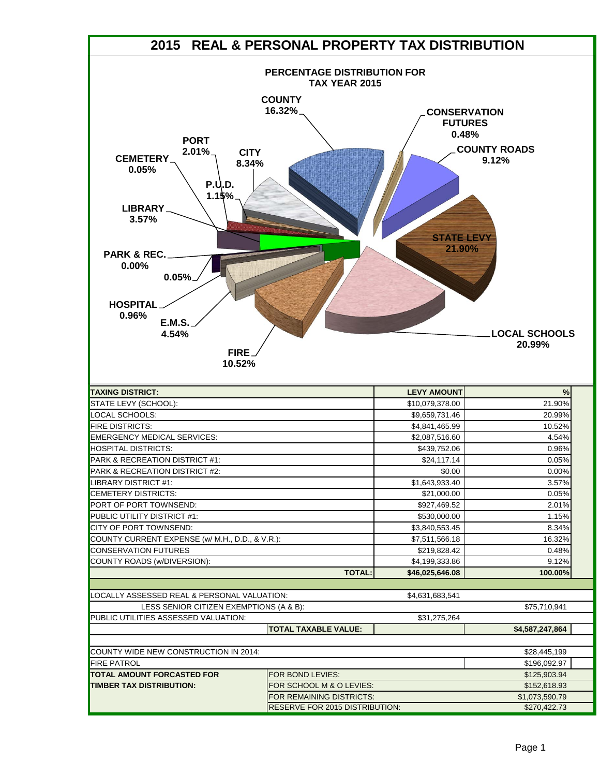|                                                                                                                            | 2015 REAL & PERSONAL PROPERTY TAX DISTRIBUTION                                 |                                                |                                |
|----------------------------------------------------------------------------------------------------------------------------|--------------------------------------------------------------------------------|------------------------------------------------|--------------------------------|
|                                                                                                                            | PERCENTAGE DISTRIBUTION FOR<br><b>TAX YEAR 2015</b><br><b>COUNTY</b><br>16.32% | <b>CONSERVATION</b><br><b>FUTURES</b><br>0.48% |                                |
| <b>PORT</b><br>$2.01\%$<br><b>CITY</b><br><b>CEMETERY</b><br>8.34%<br>0.05%<br><b>P.U.D.</b><br>1.15%<br>LIBRARY.<br>3.57% |                                                                                | <b>STATE LEVY</b>                              | <b>COUNTY ROADS</b><br>9.12%   |
| <b>PARK &amp; REC.</b><br>$0.00\%$<br>0.05%<br><b>HOSPITAL</b><br>0.96%<br><b>E.M.S.</b><br>4.54%<br>FIRE.<br>10.52%       |                                                                                | 21.90%                                         | <b>LOCAL SCHOOLS</b><br>20.99% |
| <b>TAXING DISTRICT:</b>                                                                                                    |                                                                                | <b>LEVY AMOUNT</b>                             | %                              |
| STATE LEVY (SCHOOL):                                                                                                       |                                                                                | \$10,079,378.00                                | 21.90%                         |
| LOCAL SCHOOLS:                                                                                                             |                                                                                | \$9,659,731.46                                 | 20.99%                         |
| <b>FIRE DISTRICTS:</b>                                                                                                     |                                                                                | \$4,841,465.99                                 | 10.52%                         |
| <b>EMERGENCY MEDICAL SERVICES:</b>                                                                                         |                                                                                | \$2,087,516.60                                 | 4.54%                          |
| <b>HOSPITAL DISTRICTS:</b>                                                                                                 |                                                                                | \$439,752.06                                   | 0.96%                          |
| PARK & RECREATION DISTRICT #1:                                                                                             |                                                                                | \$24,117.14                                    | 0.05%                          |
| PARK & RECREATION DISTRICT #2:                                                                                             |                                                                                | \$0.00                                         | 0.00%                          |
| LIBRARY DISTRICT #1:                                                                                                       |                                                                                | \$1,643,933.40                                 | 3.57%                          |
| <b>CEMETERY DISTRICTS:</b>                                                                                                 |                                                                                | \$21,000.00                                    | 0.05%                          |
| PORT OF PORT TOWNSEND:                                                                                                     |                                                                                | \$927,469.52                                   | 2.01%                          |
| <b>PUBLIC UTILITY DISTRICT #1:</b>                                                                                         |                                                                                | \$530,000.00                                   | 1.15%                          |
| CITY OF PORT TOWNSEND:                                                                                                     |                                                                                | \$3,840,553.45                                 | 8.34%                          |
| COUNTY CURRENT EXPENSE (w/ M.H., D.D., & V.R.):<br><b>CONSERVATION FUTURES</b>                                             |                                                                                | \$7,511,566.18<br>\$219.828.42                 | 16.32%<br>0.48%                |
| COUNTY ROADS (w/DIVERSION):                                                                                                |                                                                                | \$4,199,333.86                                 | 9.12%                          |
|                                                                                                                            | <b>TOTAL:</b>                                                                  | \$46,025,646.08                                | 100.00%                        |
|                                                                                                                            |                                                                                |                                                |                                |
| LOCALLY ASSESSED REAL & PERSONAL VALUATION:                                                                                |                                                                                | \$4,631,683,541                                |                                |
| LESS SENIOR CITIZEN EXEMPTIONS (A & B):                                                                                    |                                                                                |                                                | \$75,710,941                   |
| PUBLIC UTILITIES ASSESSED VALUATION:                                                                                       |                                                                                | \$31,275,264                                   |                                |
|                                                                                                                            | <b>TOTAL TAXABLE VALUE:</b>                                                    |                                                | \$4,587,247,864                |
|                                                                                                                            |                                                                                |                                                |                                |
| COUNTY WIDE NEW CONSTRUCTION IN 2014:                                                                                      |                                                                                |                                                | \$28,445,199                   |
| FIRE PATROL                                                                                                                |                                                                                |                                                | \$196,092.97                   |
| <b>TOTAL AMOUNT FORCASTED FOR</b>                                                                                          | FOR BOND LEVIES:                                                               |                                                | \$125,903.94                   |
| <b>TIMBER TAX DISTRIBUTION:</b>                                                                                            | FOR SCHOOL M & O LEVIES:                                                       |                                                | \$152,618.93                   |
|                                                                                                                            | FOR REMAINING DISTRICTS:                                                       |                                                | \$1,073,590.79                 |
|                                                                                                                            | RESERVE FOR 2015 DISTRIBUTION:                                                 |                                                | \$270,422.73                   |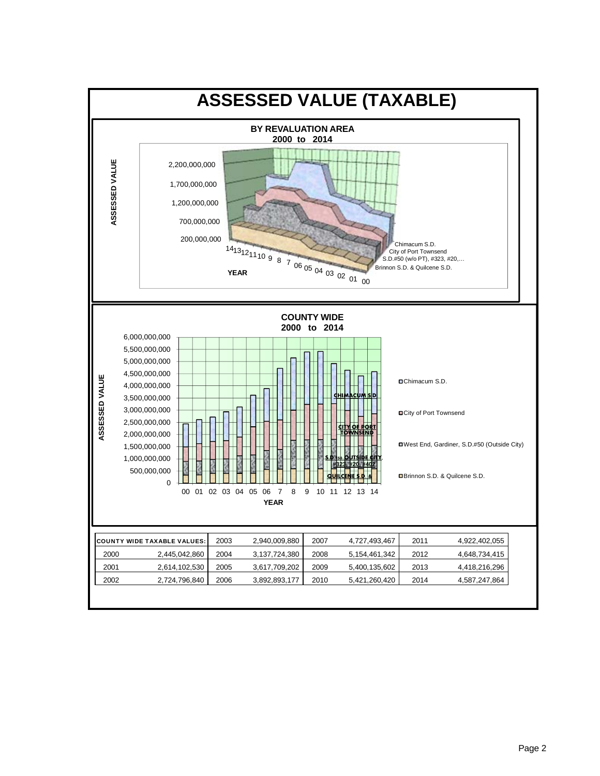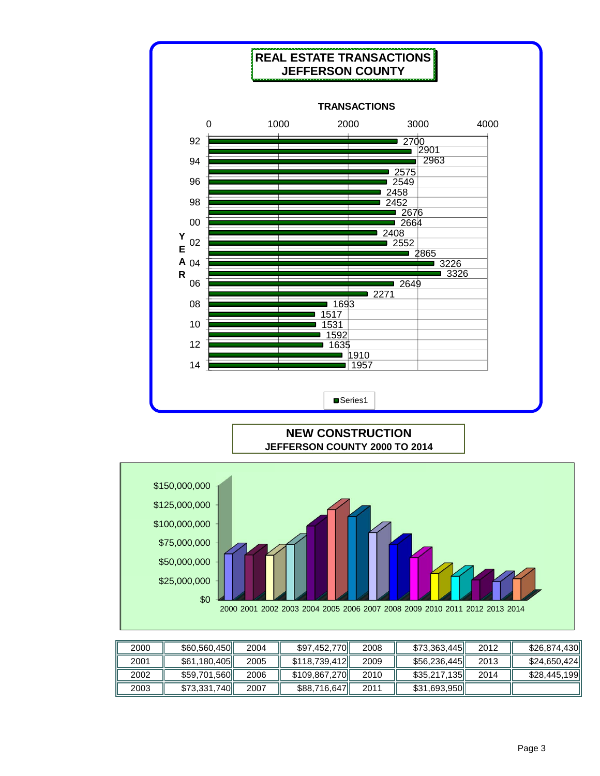

|--|--|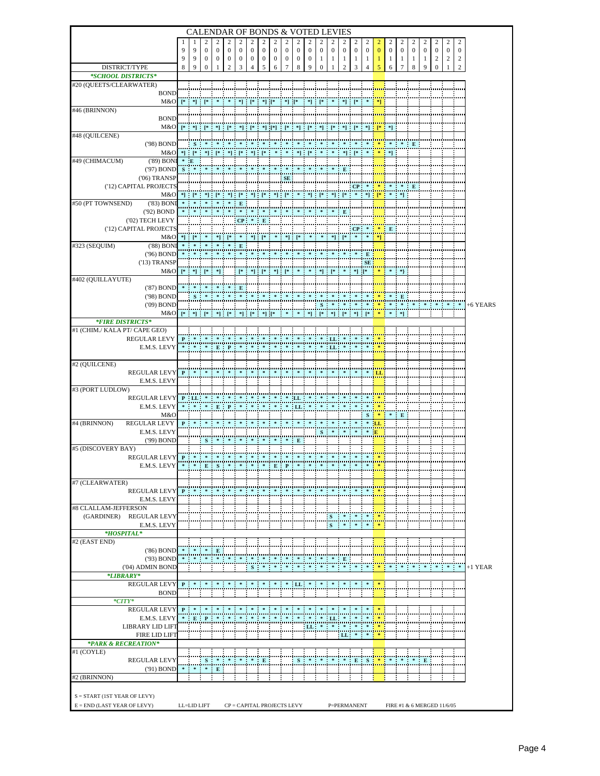|                                                                 |              |                                                                             |                                  | <b>CALENDAR OF BONDS &amp; VOTED LEVIES</b>                                                                  |                                    |                  |                       |                  |                  |                       |                                                                                                                                                                                                                                                                     |                  |                     |                       |                                |                   |                   |          |                  |                     |                            |                   |                       |                     |                                  |           |
|-----------------------------------------------------------------|--------------|-----------------------------------------------------------------------------|----------------------------------|--------------------------------------------------------------------------------------------------------------|------------------------------------|------------------|-----------------------|------------------|------------------|-----------------------|---------------------------------------------------------------------------------------------------------------------------------------------------------------------------------------------------------------------------------------------------------------------|------------------|---------------------|-----------------------|--------------------------------|-------------------|-------------------|----------|------------------|---------------------|----------------------------|-------------------|-----------------------|---------------------|----------------------------------|-----------|
|                                                                 |              |                                                                             | 2                                |                                                                                                              |                                    |                  |                       | 2                | 2                | 2                     | 2                                                                                                                                                                                                                                                                   | 2                | 2                   | 2                     | 2                              | 2                 | 2                 | 2        | 2                | 2                   | 2                          | 2                 | 2                     | 2                   | 2                                |           |
|                                                                 | 9            | 9                                                                           | $\mathbf{0}$                     | $\boldsymbol{0}$                                                                                             | $\boldsymbol{0}$                   | $\boldsymbol{0}$ | $\boldsymbol{0}$      | $\boldsymbol{0}$ | $\boldsymbol{0}$ | $\boldsymbol{0}$      | $\boldsymbol{0}$                                                                                                                                                                                                                                                    | $\boldsymbol{0}$ | $\boldsymbol{0}$    | $\boldsymbol{0}$      | $\boldsymbol{0}$               | $\boldsymbol{0}$  | $\boldsymbol{0}$  | $\bf{0}$ | $\boldsymbol{0}$ | $\boldsymbol{0}$    | $\boldsymbol{0}$           | $\boldsymbol{0}$  | $\bf{0}$              | $\boldsymbol{0}$    | $\mathbf{0}$                     |           |
| DISTRICT/TYPE                                                   | 9<br>8       | 9<br>9                                                                      | $\boldsymbol{0}$<br>$\mathbf{0}$ | $\boldsymbol{0}$<br>1                                                                                        | $\boldsymbol{0}$<br>$\overline{c}$ | 0<br>3           | $\boldsymbol{0}$<br>4 | $\bf{0}$<br>5    | $\bf{0}$<br>6    | $\boldsymbol{0}$<br>7 | $\bf{0}$<br>8                                                                                                                                                                                                                                                       | $\bf{0}$<br>9    | 1<br>$\overline{0}$ | $\mathbf{1}$<br>1     | $\mathbf{1}$<br>$\overline{c}$ | $\mathbf{1}$<br>3 | $\mathbf{1}$<br>4 | 1<br>5   | 1<br>6           | 1<br>$\overline{7}$ | 1<br>8                     | $\mathbf{1}$<br>9 | 2<br>$\boldsymbol{0}$ | $\overline{c}$<br>1 | $\overline{c}$<br>$\overline{c}$ |           |
| *SCHOOL DISTRICTS*                                              |              |                                                                             |                                  |                                                                                                              |                                    |                  |                       |                  |                  |                       |                                                                                                                                                                                                                                                                     |                  |                     |                       |                                |                   |                   |          |                  |                     |                            |                   |                       |                     |                                  |           |
| #20 (QUEETS/CLEARWATER)                                         |              |                                                                             |                                  |                                                                                                              |                                    |                  |                       |                  |                  |                       |                                                                                                                                                                                                                                                                     |                  |                     |                       |                                |                   |                   |          |                  |                     |                            |                   |                       |                     |                                  |           |
| <b>BOND</b>                                                     |              |                                                                             |                                  |                                                                                                              |                                    |                  |                       |                  |                  |                       | $\begin{bmatrix} \ast \\ \ast \end{bmatrix} \begin{bmatrix} \ast \\ \ast \end{bmatrix} \begin{bmatrix} \ast \\ \ast \end{bmatrix} \begin{bmatrix} \ast \\ \ast \end{bmatrix} \begin{bmatrix} \ast \\ \ast \end{bmatrix} \begin{bmatrix} \ast \\ \ast \end{bmatrix}$ |                  |                     |                       |                                |                   |                   |          |                  |                     |                            |                   |                       |                     |                                  |           |
| M&O<br>#46 (BRINNON)                                            |              | $\begin{bmatrix} * & * \end{bmatrix}$ $\begin{bmatrix} * & * \end{bmatrix}$ |                                  |                                                                                                              |                                    |                  |                       |                  | $*$ ] [*         |                       |                                                                                                                                                                                                                                                                     |                  |                     |                       |                                |                   |                   |          |                  |                     |                            |                   |                       |                     |                                  |           |
| <b>BOND</b>                                                     |              |                                                                             |                                  |                                                                                                              |                                    |                  |                       |                  |                  |                       |                                                                                                                                                                                                                                                                     |                  |                     |                       |                                |                   |                   |          |                  |                     |                            |                   |                       |                     |                                  |           |
| M&O                                                             |              |                                                                             |                                  |                                                                                                              |                                    |                  |                       |                  |                  |                       |                                                                                                                                                                                                                                                                     |                  |                     |                       |                                |                   |                   |          |                  |                     |                            |                   |                       |                     |                                  |           |
| #48 (QUILCENE)                                                  |              |                                                                             |                                  |                                                                                                              |                                    |                  |                       |                  |                  |                       |                                                                                                                                                                                                                                                                     |                  |                     |                       |                                |                   |                   |          |                  |                     |                            |                   |                       |                     |                                  |           |
| $(98)$ BOND<br>M&O                                              |              | *] [*                                                                       |                                  |                                                                                                              |                                    |                  |                       |                  |                  |                       |                                                                                                                                                                                                                                                                     |                  |                     |                       |                                |                   |                   |          |                  |                     |                            |                   |                       |                     |                                  |           |
| #49 (CHIMACUM)<br>$(89)$ BONI                                   | $* E$        |                                                                             |                                  |                                                                                                              |                                    |                  |                       |                  |                  |                       |                                                                                                                                                                                                                                                                     |                  |                     |                       |                                |                   |                   |          |                  |                     |                            |                   |                       |                     |                                  |           |
| ('97) BOND                                                      |              |                                                                             |                                  |                                                                                                              |                                    |                  |                       |                  |                  |                       |                                                                                                                                                                                                                                                                     |                  |                     |                       |                                |                   |                   |          |                  |                     |                            |                   |                       |                     |                                  |           |
| $(06)$ TRANSP                                                   |              |                                                                             |                                  |                                                                                                              |                                    |                  |                       |                  |                  | <b>SE</b>             |                                                                                                                                                                                                                                                                     |                  |                     |                       |                                |                   |                   |          |                  |                     |                            |                   |                       |                     |                                  |           |
| ('12) CAPITAL PROJECTS                                          |              |                                                                             |                                  |                                                                                                              |                                    |                  |                       |                  |                  |                       |                                                                                                                                                                                                                                                                     |                  |                     |                       |                                | CP <sub>1</sub>   |                   |          |                  |                     |                            |                   |                       |                     |                                  |           |
| M&O<br>#50 (PT TOWNSEND)<br>$(83)$ BON                          |              |                                                                             |                                  |                                                                                                              |                                    |                  |                       |                  |                  |                       | $\begin{bmatrix} * & * \\ * & * \end{bmatrix} \quad \begin{bmatrix} * & * & * \\ * & * & * \end{bmatrix} \quad \begin{bmatrix} * & * \\ * & * \end{bmatrix} \quad \begin{bmatrix} * & * \\ * & * \end{bmatrix}$                                                     |                  |                     |                       |                                |                   |                   | $*$ $*$  |                  | -*1                 |                            |                   |                       |                     |                                  |           |
| ('92) BOND                                                      |              |                                                                             |                                  |                                                                                                              |                                    |                  |                       |                  |                  |                       |                                                                                                                                                                                                                                                                     |                  |                     |                       |                                |                   |                   |          |                  |                     |                            |                   |                       |                     |                                  |           |
| ('02) TECH LEVY                                                 |              |                                                                             |                                  |                                                                                                              |                                    | <b>CP</b>        |                       |                  |                  |                       |                                                                                                                                                                                                                                                                     |                  |                     |                       |                                |                   |                   |          |                  |                     |                            |                   |                       |                     |                                  |           |
| ('12) CAPITAL PROJECTS                                          |              |                                                                             |                                  |                                                                                                              |                                    |                  |                       |                  |                  |                       |                                                                                                                                                                                                                                                                     |                  |                     |                       |                                | CP <sub>1</sub>   |                   |          |                  |                     |                            |                   |                       |                     |                                  |           |
| M&O<br>#323 (SEQUIM)<br>$(88)$ BONI                             |              |                                                                             |                                  |                                                                                                              |                                    | ${\bf E}$        |                       | *] [*            |                  |                       |                                                                                                                                                                                                                                                                     |                  |                     |                       |                                |                   |                   |          |                  |                     |                            |                   |                       |                     |                                  |           |
| ('96) BOND                                                      |              |                                                                             |                                  |                                                                                                              |                                    |                  |                       |                  |                  |                       |                                                                                                                                                                                                                                                                     |                  |                     |                       |                                |                   |                   |          |                  |                     |                            |                   |                       |                     |                                  |           |
| $(13)$ TRANSP                                                   |              |                                                                             |                                  |                                                                                                              |                                    |                  |                       |                  |                  |                       |                                                                                                                                                                                                                                                                     |                  |                     |                       |                                |                   | SE                |          |                  |                     |                            |                   |                       |                     |                                  |           |
| M&O                                                             |              |                                                                             |                                  |                                                                                                              |                                    |                  |                       |                  |                  | $"$ $"$ $"$           |                                                                                                                                                                                                                                                                     |                  |                     |                       |                                | $*$ $*$ $*$       |                   |          |                  |                     |                            |                   |                       |                     |                                  |           |
| #402 (QUILLAYUTE)<br>('87) BOND                                 |              |                                                                             |                                  |                                                                                                              |                                    |                  |                       |                  |                  |                       |                                                                                                                                                                                                                                                                     |                  |                     |                       |                                |                   |                   |          |                  |                     |                            |                   |                       |                     |                                  |           |
| ('98) BOND                                                      |              |                                                                             |                                  |                                                                                                              |                                    |                  |                       |                  |                  |                       |                                                                                                                                                                                                                                                                     |                  |                     |                       |                                |                   |                   |          |                  |                     |                            |                   |                       |                     |                                  |           |
| $(09)$ BOND                                                     |              |                                                                             |                                  |                                                                                                              |                                    |                  |                       |                  |                  |                       |                                                                                                                                                                                                                                                                     |                  |                     |                       |                                |                   |                   |          |                  |                     |                            |                   |                       |                     |                                  | +6 YEARS  |
| M&O                                                             |              |                                                                             |                                  | ူးတစ်ချင်း (မင်းစံ) ဦးဖြင့် စစ်ပြုပြင် စစ်ပြုပေါင်း ခင်းစစ်ပေါင်း ဖြင့် စစ်ပြုပြင် စစ်ပြုပေါင်း ခင်းစစ်ပြုပြ |                                    |                  |                       |                  |                  |                       |                                                                                                                                                                                                                                                                     |                  |                     |                       |                                |                   |                   |          |                  |                     |                            |                   |                       |                     |                                  |           |
| <i><b>*FIRE DISTRICTS*</b></i><br>#1 (CHIM./ KALA PT/ CAPE GEO) |              |                                                                             |                                  |                                                                                                              |                                    |                  |                       |                  |                  |                       |                                                                                                                                                                                                                                                                     |                  |                     |                       |                                |                   |                   |          |                  |                     |                            |                   |                       |                     |                                  |           |
| <b>REGULAR LEVY</b>                                             | P            |                                                                             |                                  |                                                                                                              |                                    |                  |                       |                  |                  |                       |                                                                                                                                                                                                                                                                     |                  |                     |                       |                                |                   |                   |          |                  |                     |                            |                   |                       |                     |                                  |           |
| E.M.S. LEVY                                                     |              |                                                                             |                                  |                                                                                                              | $E$ $P$                            |                  |                       |                  |                  |                       |                                                                                                                                                                                                                                                                     |                  |                     | $\frac{1}{2}$<br>: LL |                                |                   |                   |          |                  |                     |                            |                   |                       |                     |                                  |           |
|                                                                 |              |                                                                             |                                  |                                                                                                              |                                    |                  |                       |                  |                  |                       |                                                                                                                                                                                                                                                                     |                  |                     |                       |                                |                   |                   |          |                  |                     |                            |                   |                       |                     |                                  |           |
| #2 (QUILCENE)                                                   |              |                                                                             |                                  |                                                                                                              |                                    |                  |                       |                  |                  |                       |                                                                                                                                                                                                                                                                     |                  |                     |                       |                                |                   |                   |          |                  |                     |                            |                   |                       |                     |                                  |           |
| <b>REGULAR LEVY</b><br>E.M.S. LEVY                              |              |                                                                             |                                  |                                                                                                              |                                    |                  |                       |                  |                  |                       |                                                                                                                                                                                                                                                                     |                  |                     |                       |                                |                   |                   |          |                  |                     |                            |                   |                       |                     |                                  |           |
| #3 (PORT LUDLOW)                                                |              |                                                                             |                                  |                                                                                                              |                                    |                  |                       |                  |                  |                       |                                                                                                                                                                                                                                                                     |                  |                     |                       |                                |                   |                   |          |                  |                     |                            |                   |                       |                     |                                  |           |
| <b>REGULAR LEVY</b>                                             |              | $P$ LL                                                                      |                                  |                                                                                                              |                                    |                  |                       |                  |                  | $^*$ $\quad$ $^*$ LL  |                                                                                                                                                                                                                                                                     |                  |                     |                       |                                |                   |                   |          |                  |                     |                            |                   |                       |                     |                                  |           |
| E.M.S. LEVY                                                     |              |                                                                             |                                  |                                                                                                              | $E$ $P$                            |                  |                       |                  |                  |                       | - LL.                                                                                                                                                                                                                                                               |                  |                     |                       |                                |                   |                   |          |                  |                     |                            |                   |                       |                     |                                  |           |
| M&O<br>REGULAR LEVY<br>#4 (BRINNON)                             | $\mathbf{P}$ |                                                                             |                                  |                                                                                                              |                                    |                  |                       |                  |                  |                       |                                                                                                                                                                                                                                                                     |                  |                     |                       |                                |                   |                   |          |                  |                     |                            |                   |                       |                     |                                  |           |
| E.M.S. LEVY                                                     |              |                                                                             |                                  |                                                                                                              |                                    |                  |                       |                  |                  |                       |                                                                                                                                                                                                                                                                     |                  |                     |                       |                                |                   |                   |          |                  |                     |                            |                   |                       |                     |                                  |           |
| ('99) BOND                                                      |              |                                                                             |                                  |                                                                                                              |                                    |                  |                       |                  |                  |                       |                                                                                                                                                                                                                                                                     |                  |                     |                       |                                |                   |                   |          |                  |                     |                            |                   |                       |                     |                                  |           |
| #5 (DISCOVERY BAY)                                              |              |                                                                             |                                  |                                                                                                              |                                    |                  |                       |                  |                  |                       |                                                                                                                                                                                                                                                                     |                  |                     |                       |                                |                   |                   |          |                  |                     |                            |                   |                       |                     |                                  |           |
| <b>REGULAR LEVY</b>                                             |              |                                                                             |                                  |                                                                                                              |                                    |                  |                       |                  |                  |                       |                                                                                                                                                                                                                                                                     |                  |                     |                       |                                |                   |                   |          |                  |                     |                            |                   |                       |                     |                                  |           |
| E.M.S. LEVY                                                     |              |                                                                             |                                  |                                                                                                              |                                    |                  |                       |                  |                  |                       |                                                                                                                                                                                                                                                                     |                  |                     |                       |                                |                   |                   |          |                  |                     |                            |                   |                       |                     |                                  |           |
| #7 (CLEARWATER)                                                 |              |                                                                             |                                  |                                                                                                              |                                    |                  |                       |                  |                  |                       |                                                                                                                                                                                                                                                                     |                  |                     |                       |                                |                   |                   |          |                  |                     |                            |                   |                       |                     |                                  |           |
| <b>REGULAR LEVY</b>                                             | $\mathbf{P}$ |                                                                             |                                  |                                                                                                              |                                    |                  |                       |                  |                  |                       |                                                                                                                                                                                                                                                                     |                  |                     |                       |                                |                   |                   |          |                  |                     |                            |                   |                       |                     |                                  |           |
| E.M.S. LEVY                                                     |              |                                                                             |                                  |                                                                                                              |                                    |                  |                       |                  |                  |                       |                                                                                                                                                                                                                                                                     |                  |                     |                       |                                |                   |                   |          |                  |                     |                            |                   |                       |                     |                                  |           |
| #8 CLALLAM-JEFFERSON<br>(GARDINER) REGULAR LEVY                 |              |                                                                             |                                  |                                                                                                              |                                    |                  |                       |                  |                  |                       |                                                                                                                                                                                                                                                                     |                  |                     |                       |                                |                   |                   |          |                  |                     |                            |                   |                       |                     |                                  |           |
| E.M.S. LEVY                                                     |              |                                                                             |                                  |                                                                                                              |                                    |                  |                       |                  |                  |                       |                                                                                                                                                                                                                                                                     |                  |                     | S                     |                                | 車 車               |                   |          |                  |                     |                            |                   |                       |                     |                                  |           |
| *HOSPITAL*                                                      |              |                                                                             |                                  |                                                                                                              |                                    |                  |                       |                  |                  |                       |                                                                                                                                                                                                                                                                     |                  |                     |                       |                                |                   |                   |          |                  |                     |                            |                   |                       |                     |                                  |           |
| #2 (EAST END)                                                   |              |                                                                             |                                  |                                                                                                              |                                    |                  |                       |                  |                  |                       |                                                                                                                                                                                                                                                                     |                  |                     |                       |                                |                   |                   |          |                  |                     |                            |                   |                       |                     |                                  |           |
| $(86)$ BOND<br>('93) BOND                                       |              |                                                                             |                                  | $\hspace{.1cm}^*$ . E                                                                                        |                                    |                  |                       |                  |                  |                       |                                                                                                                                                                                                                                                                     |                  |                     |                       | Е                              |                   |                   |          |                  |                     |                            |                   |                       |                     |                                  |           |
| ('04) ADMIN BOND                                                |              |                                                                             |                                  |                                                                                                              |                                    |                  | $S$ :                 |                  |                  |                       |                                                                                                                                                                                                                                                                     |                  |                     |                       |                                |                   |                   |          |                  |                     |                            |                   |                       |                     |                                  | $+1$ YEAR |
| *LIBRARY*                                                       |              |                                                                             |                                  |                                                                                                              |                                    |                  |                       |                  |                  |                       |                                                                                                                                                                                                                                                                     |                  |                     |                       |                                |                   |                   |          |                  |                     |                            |                   |                       |                     |                                  |           |
| <b>REGULAR LEVY</b>                                             |              | $P$ *                                                                       |                                  |                                                                                                              |                                    |                  |                       |                  |                  |                       | $*$ $*$ $LL$ $*$                                                                                                                                                                                                                                                    |                  |                     |                       |                                |                   |                   |          |                  |                     |                            |                   |                       |                     |                                  |           |
| <b>BOND</b><br>$*c$ <i>TY</i> $*$                               |              |                                                                             |                                  |                                                                                                              |                                    |                  |                       |                  |                  |                       |                                                                                                                                                                                                                                                                     |                  |                     |                       |                                |                   |                   |          |                  |                     |                            |                   |                       |                     |                                  |           |
| <b>REGULAR LEVY</b>                                             | $P$ *        |                                                                             |                                  |                                                                                                              |                                    |                  |                       |                  |                  |                       |                                                                                                                                                                                                                                                                     |                  |                     |                       |                                |                   |                   |          |                  |                     |                            |                   |                       |                     |                                  |           |
| E.M.S. LEVY                                                     |              | EP                                                                          |                                  |                                                                                                              |                                    |                  |                       |                  |                  |                       |                                                                                                                                                                                                                                                                     |                  |                     | : LL:                 |                                |                   |                   |          |                  |                     |                            |                   |                       |                     |                                  |           |
| LIBRARY LID LIFT                                                |              |                                                                             |                                  |                                                                                                              |                                    |                  |                       |                  |                  |                       |                                                                                                                                                                                                                                                                     | $LL$ *           |                     |                       |                                |                   |                   |          |                  |                     |                            |                   |                       |                     |                                  |           |
| <b>FIRE LID LIFT</b><br>*PARK & RECREATION*                     |              |                                                                             |                                  |                                                                                                              |                                    |                  |                       |                  |                  |                       |                                                                                                                                                                                                                                                                     |                  |                     |                       |                                | $LL$ $*$ $*$      |                   |          |                  |                     |                            |                   |                       |                     |                                  |           |
| #1 (COYLE)                                                      |              |                                                                             |                                  |                                                                                                              |                                    |                  |                       |                  |                  |                       |                                                                                                                                                                                                                                                                     |                  |                     |                       |                                |                   |                   |          |                  |                     |                            |                   |                       |                     |                                  |           |
| <b>REGULAR LEVY</b>                                             |              |                                                                             |                                  |                                                                                                              |                                    |                  |                       | ÷Е               |                  |                       |                                                                                                                                                                                                                                                                     |                  |                     |                       |                                | $E$ S             |                   |          |                  |                     |                            | Е                 |                       |                     |                                  |           |
| ('91) BOND                                                      |              |                                                                             |                                  | $\begin{array}{cccccccccccccc} * & * & * & \mathbf{E} & \end{array}$                                         |                                    |                  |                       | ÷                | ÷                |                       |                                                                                                                                                                                                                                                                     |                  |                     |                       |                                |                   |                   |          |                  |                     |                            |                   |                       |                     |                                  |           |
| #2 (BRINNON)                                                    |              |                                                                             |                                  |                                                                                                              |                                    |                  |                       | ÷                | ÷                |                       |                                                                                                                                                                                                                                                                     |                  |                     |                       |                                |                   |                   |          |                  |                     |                            |                   |                       |                     |                                  |           |
|                                                                 |              |                                                                             |                                  |                                                                                                              |                                    |                  |                       |                  |                  |                       |                                                                                                                                                                                                                                                                     |                  |                     |                       |                                |                   |                   |          |                  |                     |                            |                   |                       |                     |                                  |           |
| $S = \text{START}$ (1ST YEAR OF LEVY)                           |              |                                                                             |                                  |                                                                                                              |                                    |                  |                       |                  |                  |                       |                                                                                                                                                                                                                                                                     |                  |                     |                       |                                |                   |                   |          |                  |                     |                            |                   |                       |                     |                                  |           |
| $E = END$ (LAST YEAR OF LEVY)                                   |              | LL=LID LIFT                                                                 |                                  |                                                                                                              |                                    |                  |                       |                  |                  |                       | CP = CAPITAL PROJECTS LEVY                                                                                                                                                                                                                                          |                  |                     |                       |                                | P=PERMANENT       |                   |          |                  |                     | FIRE #1 & 6 MERGED 11/6/05 |                   |                       |                     |                                  |           |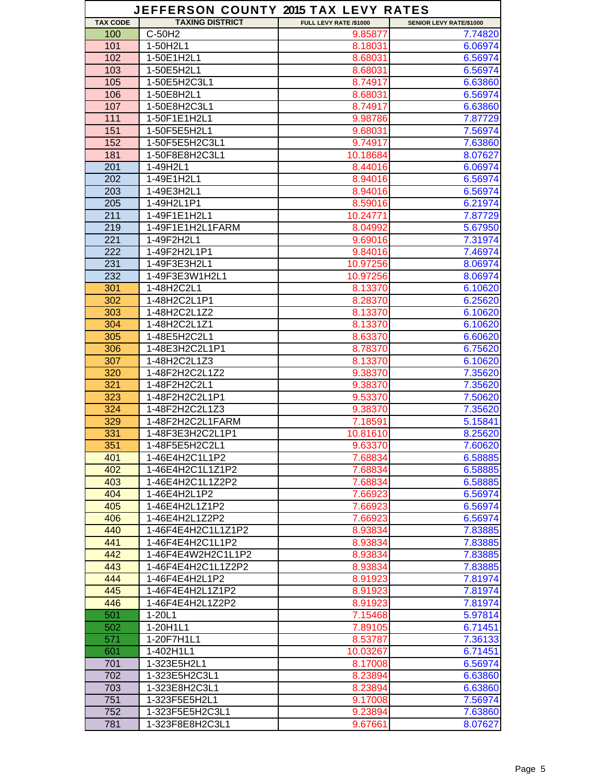|                 | JEFFERSON COUNTY 2015 TAX LEVY RATES |                        |                         |
|-----------------|--------------------------------------|------------------------|-------------------------|
| <b>TAX CODE</b> | <b>TAXING DISTRICT</b>               | FULL LEVY RATE /\$1000 | SENIOR LEVY RATE/\$1000 |
| 100             | C-50H2                               | 9.85877                | 7.74820                 |
| 101             | 1-50H2L1                             | 8.18031                | 6.06974                 |
| 102             | 1-50E1H2L1                           | 8.68031                | 6.56974                 |
| 103             | 1-50E5H2L1                           | 8.68031                | 6.56974                 |
| 105             | 1-50E5H2C3L1                         | 8.74917                | 6.63860                 |
| 106             | 1-50E8H2L1                           | 8.68031                | 6.56974                 |
| 107             | 1-50E8H2C3L1                         | 8.74917                | 6.63860                 |
| 111             | 1-50F1E1H2L1                         | 9.98786                | 7.87729                 |
| 151             | 1-50F5E5H2L1                         | 9.68031                | 7.56974                 |
| 152             | 1-50F5E5H2C3L1                       | 9.74917                | 7.63860                 |
| 181             | 1-50F8E8H2C3L1                       | 10.18684               | 8.07627                 |
| 201             | 1-49H2L1                             |                        | 6.06974                 |
|                 |                                      | 8.44016                |                         |
| 202             | 1-49E1H2L1                           | 8.94016                | 6.56974                 |
| 203             | 1-49E3H2L1                           | 8.94016                | 6.56974                 |
| 205             | 1-49H2L1P1                           | 8.59016                | 6.21974                 |
| 211             | 1-49F1E1H2L1                         | 10.24771               | 7.87729                 |
| 219             | 1-49F1E1H2L1FARM                     | 8.04992                | 5.67950                 |
| 221             | 1-49F2H2L1                           | 9.69016                | 7.31974                 |
| 222             | 1-49F2H2L1P1                         | 9.84016                | 7.46974                 |
| 231             | 1-49F3E3H2L1                         | 10.97256               | 8.06974                 |
| 232             | 1-49F3E3W1H2L1                       | 10.97256               | 8.06974                 |
| 301             | 1-48H2C2L1                           | 8.13370                | 6.10620                 |
| 302             | 1-48H2C2L1P1                         | 8.28370                | 6.25620                 |
| 303             | 1-48H2C2L1Z2                         | 8.13370                | 6.10620                 |
| 304             | 1-48H2C2L1Z1                         | 8.13370                | 6.10620                 |
| 305             | 1-48E5H2C2L1                         | 8.63370                | 6.60620                 |
| 306             | 1-48E3H2C2L1P1                       | 8.78370                | 6.75620                 |
| 307             | 1-48H2C2L1Z3                         | 8.13370                | 6.10620                 |
| 320             | 1-48F2H2C2L1Z2                       | 9.38370                | 7.35620                 |
| 321             | 1-48F2H2C2L1                         | 9.38370                | 7.35620                 |
| 323             | 1-48F2H2C2L1P1                       | 9.53370                | 7.50620                 |
| 324             | 1-48F2H2C2L1Z3                       | 9.38370                | 7.35620                 |
| 329             | 1-48F2H2C2L1FARM                     | 7.18591                | 5.15841                 |
| 331             | 1-48F3E3H2C2L1P1                     | 10.81610               | 8.25620                 |
| 351             | 1-48F5E5H2C2L1                       | 9.63370                | 7.60620                 |
| 401             | 1-46E4H2C1L1P2                       | 7.68834                | 6.58885                 |
| 402             | 1-46E4H2C1L1Z1P2                     | 7.68834                | 6.58885                 |
| 403             | 1-46E4H2C1L1Z2P2                     | 7.68834                | 6.58885                 |
| 404             | 1-46E4H2L1P2                         | 7.66923                | 6.56974                 |
| 405             | 1-46E4H2L1Z1P2                       |                        |                         |
| 406             | 1-46E4H2L1Z2P2                       | 7.66923                | 6.56974<br>6.56974      |
| 440             | 1-46F4E4H2C1L1Z1P2                   | 7.66923                |                         |
| 441             |                                      | 8.93834                | 7.83885                 |
|                 | 1-46F4E4H2C1L1P2                     | 8.93834                | 7.83885                 |
| 442             | 1-46F4E4W2H2C1L1P2                   | 8.93834                | 7.83885                 |
| 443             | 1-46F4E4H2C1L1Z2P2                   | 8.93834                | 7.83885                 |
| 444             | 1-46F4E4H2L1P2                       | 8.91923                | 7.81974                 |
| 445             | 1-46F4E4H2L1Z1P2                     | 8.91923                | 7.81974                 |
| 446             | 1-46F4E4H2L1Z2P2                     | 8.91923                | 7.81974                 |
| 501             | $1-20L1$                             | 7.15468                | 5.97814                 |
| 502             | 1-20H1L1                             | 7.89105                | 6.71451                 |
| 571             | 1-20F7H1L1                           | 8.53787                | 7.36133                 |
| 601             | 1-402H1L1                            | 10.03267               | 6.71451                 |
| 701             | 1-323E5H2L1                          | 8.17008                | 6.56974                 |
| 702             | 1-323E5H2C3L1                        | 8.23894                | 6.63860                 |
| 703             | 1-323E8H2C3L1                        | 8.23894                | 6.63860                 |
| 751             | 1-323F5E5H2L1                        | 9.17008                | 7.56974                 |
| 752             | 1-323F5E5H2C3L1                      | 9.23894                | 7.63860                 |
| 781             | 1-323F8E8H2C3L1                      | 9.67661                | 8.07627                 |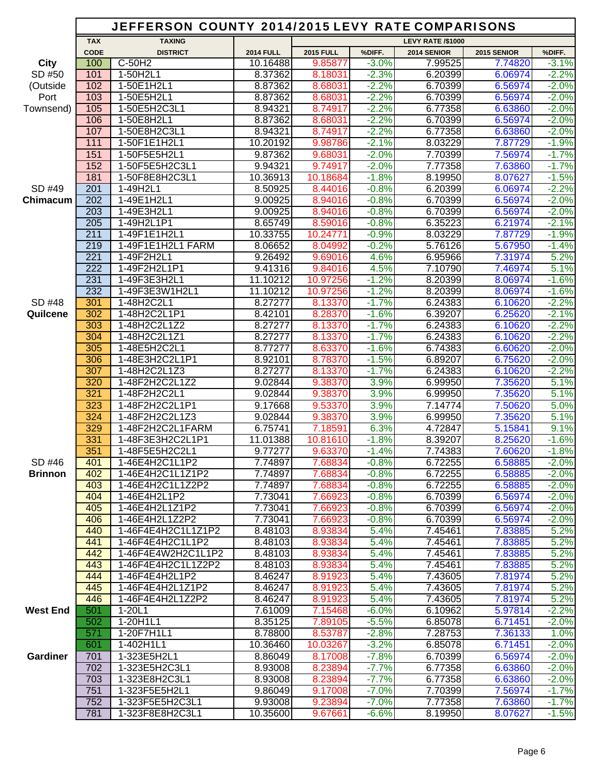|                 |             | JEFFERSON COUNTY 2014/2015 LEVY RATE COMPARISONS |                    |                    |                    |                          |                    |                    |
|-----------------|-------------|--------------------------------------------------|--------------------|--------------------|--------------------|--------------------------|--------------------|--------------------|
|                 | <b>TAX</b>  | <b>TAXING</b>                                    |                    |                    |                    | <b>LEVY RATE /\$1000</b> |                    |                    |
|                 | <b>CODE</b> | <b>DISTRICT</b>                                  | <b>2014 FULL</b>   | <b>2015 FULL</b>   | %DIFF.             | 2014 SENIOR              | 2015 SENIOR        | %DIFF.             |
| <b>City</b>     | 100         | $C-50H2$                                         | 10.16488           | 9.85877            | $-3.0%$            | 7.99525                  | 7.74820            | $-3.1%$            |
| SD #50          | 101         | 1-50H2L1                                         | 8.37362            | 8.18031            | $-2.3%$            | 6.20399                  | 6.06974            | $-2.2%$            |
| (Outside        | 102         | 1-50E1H2L1                                       | 8.87362            | 8.68031            | $-2.2%$            | 6.70399                  | 6.56974            | $-2.0%$            |
| Port            | 103         | 1-50E5H2L1                                       | 8.87362            | 8.68031            | $-2.2%$            | 6.70399                  | 6.56974            | $-2.0%$            |
| Townsend)       | 105<br>106  | 1-50E5H2C3L1<br>1-50E8H2L1                       | 8.94321            | 8.74917            | $-2.2%$<br>$-2.2%$ | 6.77358<br>6.70399       | 6.63860            | $-2.0%$            |
|                 | 107         | 1-50E8H2C3L1                                     | 8.87362<br>8.94321 | 8.68031<br>8.74917 | $-2.2%$            | 6.77358                  | 6.56974<br>6.63860 | $-2.0%$<br>$-2.0%$ |
|                 | 111         | 1-50F1E1H2L1                                     | 10.20192           | 9.98786            | $-2.1%$            | 8.03229                  | 7.87729            | $-1.9%$            |
|                 | 151         | 1-50F5E5H2L1                                     | 9.87362            | 9.68031            | $-2.0%$            | 7.70399                  | 7.56974            | $-1.7%$            |
|                 | 152         | 1-50F5E5H2C3L1                                   | 9.94321            | 9.74917            | $-2.0%$            | 7.77358                  | 7.63860            | $-1.7%$            |
|                 | 181         | 1-50F8E8H2C3L1                                   | 10.36913           | 10.18684           | $-1.8%$            | 8.19950                  | 8.07627            | $-1.5%$            |
| SD #49          | 201         | 1-49H2L1                                         | 8.50925            | 8.44016            | $-0.8%$            | 6.20399                  | 6.06974            | $-2.2%$            |
| Chimacum        | 202         | 1-49E1H2L1                                       | 9.00925            | 8.94016            | $-0.8%$            | 6.70399                  | 6.56974            | $-2.0%$            |
|                 | 203         | 1-49E3H2L1                                       | 9.00925            | 8.94016            | $-0.8%$            | 6.70399                  | 6.56974            | $-2.0%$            |
|                 | 205         | 1-49H2L1P1                                       | 8.65749            | 8.59016            | $-0.8%$            | 6.35223                  | 6.21974            | $-2.1%$            |
|                 | 211         | 1-49F1E1H2L1                                     | 10.33755           | 10.24771           | $-0.9%$            | 8.03229                  | 7.87729            | $-1.9%$            |
|                 | 219         | 1-49F1E1H2L1 FARM                                | 8.06652            | 8.04992            | $-0.2%$            | 5.76126                  | 5.67950            | $-1.4%$            |
|                 | 221         | 1-49F2H2L1                                       | 9.26492            | 9.69016            | 4.6%               | 6.95966                  | 7.31974            | 5.2%               |
|                 | 222         | 1-49F2H2L1P1                                     | 9.41316            | 9.84016            | 4.5%               | 7.10790                  | 7.46974            | 5.1%               |
|                 | 231         | 1-49F3E3H2L1                                     | 11.10212           | 10.97256           | $-1.2%$            | 8.20399                  | 8.06974            | $-1.6%$            |
|                 | 232         | 1-49F3E3W1H2L1                                   | 11.10212           | 10.97256           | $-1.2%$            | 8.20399                  | 8.06974            | $-1.6%$            |
| SD #48          | 301         | 1-48H2C2L1                                       | 8.27277            | 8.13370            | $-1.7%$            | 6.24383                  | 6.10620            | $-2.2%$            |
| Quilcene        | 302         | 1-48H2C2L1P1                                     | 8.42101            | 8.28370            | $-1.6%$            | 6.39207                  | 6.25620            | $-2.1%$            |
|                 | 303         | 1-48H2C2L1Z2                                     | 8.27277            | 8.13370            | $-1.7%$            | 6.24383                  | 6.10620            | $-2.2%$            |
|                 | 304         | 1-48H2C2L1Z1                                     | 8.27277            | 8.13370            | $-1.7%$            | 6.24383                  | 6.10620            | $-2.2%$            |
|                 | 305         | 1-48E5H2C2L1                                     | 8.77277            | 8.63370            | $-1.6%$            | 6.74383                  | 6.60620            | $-2.0%$            |
|                 | 306<br>307  | 1-48E3H2C2L1P1                                   | 8.92101            | 8.78370            | $-1.5%$<br>$-1.7%$ | 6.89207                  | 6.75620            | $-2.0%$            |
|                 | 320         | 1-48H2C2L1Z3<br>1-48F2H2C2L1Z2                   | 8.27277<br>9.02844 | 8.13370<br>9.38370 | 3.9%               | 6.24383<br>6.99950       | 6.10620<br>7.35620 | $-2.2%$<br>5.1%    |
|                 | 321         | 1-48F2H2C2L1                                     | 9.02844            | 9.38370            | 3.9%               | 6.99950                  | 7.35620            | 5.1%               |
|                 | 323         | 1-48F2H2C2L1P1                                   | 9.17668            | 9.53370            | 3.9%               | 7.14774                  | 7.50620            | 5.0%               |
|                 | 324         | 1-48F2H2C2L1Z3                                   | 9.02844            | 9.38370            | 3.9%               | 6.99950                  | 7.35620            | 5.1%               |
|                 | 329         | 1-48F2H2C2L1FARM                                 | 6.75741            | 7.18591            | 6.3%               | 4.72847                  | 5.15841            | 9.1%               |
|                 | 331         | 1-48F3E3H2C2L1P1                                 | 11.01388           | 10.81610           | $-1.8%$            | 8.39207                  | 8.25620            | $-1.6%$            |
|                 | 351         | 1-48F5E5H2C2L1                                   | 9.77277            | 9.63370            | $-1.4%$            | 7.74383                  | 7.60620            | $-1.8%$            |
| SD #46          | 401         | 1-46E4H2C1L1P2                                   | 7.74897            | 7.68834            | $-0.8%$            | 6.72255                  | 6.58885            | $-2.0%$            |
| <b>Brinnon</b>  | 402         | 1-46E4H2C1L1Z1P2                                 | 7.74897            | 7.68834            | $-0.8%$            | 6.72255                  | 6.58885            | $-2.0%$            |
|                 | 403         | 1-46E4H2C1L1Z2P2                                 | 7.74897            | 7.68834            | $-0.8%$            | 6.72255                  | 6.58885            | $-2.0%$            |
|                 | 404         | 1-46E4H2L1P2                                     | 7.73041            | 7.66923            | $-0.8%$            | 6.70399                  | 6.56974            | $-2.0%$            |
|                 | 405         | 1-46E4H2L1Z1P2                                   | 7.73041            | 7.66923            | $-0.8%$            | 6.70399                  | 6.56974            | $-2.0%$            |
|                 | 406         | 1-46E4H2L1Z2P2                                   | 7.73041            | 7.66923            | $-0.8%$            | 6.70399                  | 6.56974            | $-2.0%$            |
|                 | 440         | 1-46F4E4H2C1L1Z1P2                               | 8.48103            | 8.93834            | 5.4%               | 7.45461                  | 7.83885            | 5.2%               |
|                 | 441         | 1-46F4E4H2C1L1P2                                 | 8.48103            | 8.93834            | 5.4%               | 7.45461                  | 7.83885            | 5.2%               |
|                 | 442         | 1-46F4E4W2H2C1L1P2                               | 8.48103            | 8.93834            | 5.4%               | 7.45461                  | 7.83885            | 5.2%               |
|                 | 443         | 1-46F4E4H2C1L1Z2P2                               | 8.48103            | 8.93834            | 5.4%               | 7.45461                  | 7.83885            | 5.2%               |
|                 | 444         | 1-46F4E4H2L1P2                                   | 8.46247            | 8.91923            | 5.4%               | 7.43605                  | 7.81974            | 5.2%               |
|                 | 445         | 1-46F4E4H2L1Z1P2                                 | 8.46247            | 8.91923            | 5.4%               | 7.43605                  | 7.81974            | 5.2%               |
|                 | 446<br>501  | 1-46F4E4H2L1Z2P2<br>$1 - 20L1$                   | 8.46247<br>7.61009 | 8.91923<br>7.15468 | 5.4%<br>$-6.0%$    | 7.43605<br>6.10962       | 7.81974<br>5.97814 | 5.2%<br>$-2.2%$    |
| <b>West End</b> | 502         | 1-20H1L1                                         | 8.35125            | 7.89105            | $-5.5%$            | 6.85078                  | 6.71451            | $-2.0%$            |
|                 | 571         | 1-20F7H1L1                                       | 8.78800            | 8.53787            | $-2.8%$            | 7.28753                  | 7.36133            | 1.0%               |
|                 | 601         | 1-402H1L1                                        | 10.36460           | 10.03267           | $-3.2%$            | 6.85078                  | 6.71451            | $-2.0%$            |
| <b>Gardiner</b> | 701         | 1-323E5H2L1                                      | 8.86049            | 8.17008            | $-7.8%$            | 6.70399                  | 6.56974            | $-2.0%$            |
|                 | 702         | 1-323E5H2C3L1                                    | 8.93008            | 8.23894            | $-7.7%$            | 6.77358                  | 6.63860            | $-2.0%$            |
|                 | 703         | 1-323E8H2C3L1                                    | 8.93008            | 8.23894            | $-7.7%$            | 6.77358                  | 6.63860            | $-2.0%$            |
|                 | 751         | 1-323F5E5H2L1                                    | 9.86049            | 9.17008            | $-7.0%$            | 7.70399                  | 7.56974            | $-1.7%$            |
|                 | 752         | 1-323F5E5H2C3L1                                  | 9.93008            | 9.23894            | $-7.0%$            | 7.77358                  | 7.63860            | $-1.7%$            |
|                 | 781         | 1-323F8E8H2C3L1                                  | 10.35600           | 9.67661            | $-6.6%$            | 8.19950                  | 8.07627            | $-1.5%$            |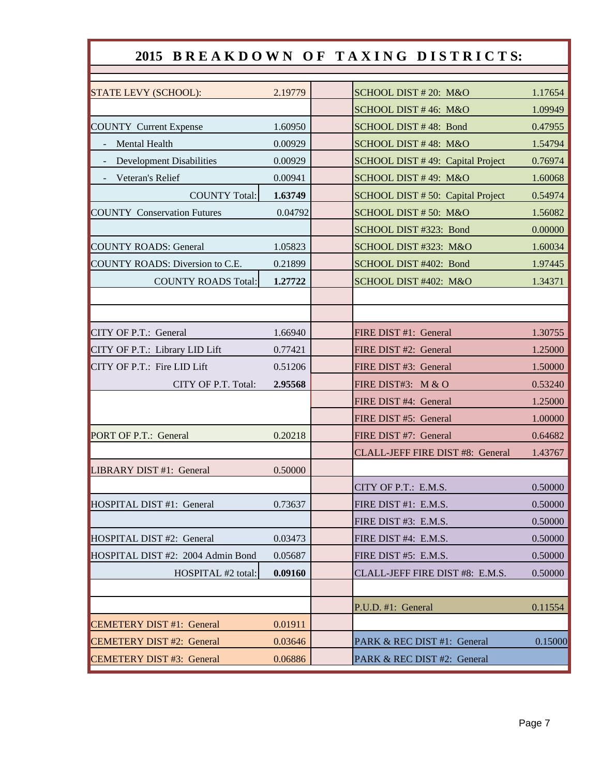|                                    |         | 2015 BREAKDOWN OF TAXING DISTRICTS: |         |
|------------------------------------|---------|-------------------------------------|---------|
|                                    |         |                                     |         |
| STATE LEVY (SCHOOL):               | 2.19779 | SCHOOL DIST #20: M&O                | 1.17654 |
|                                    |         | SCHOOL DIST #46: M&O                | 1.09949 |
| <b>COUNTY Current Expense</b>      | 1.60950 | SCHOOL DIST #48: Bond               | 0.47955 |
| Mental Health                      | 0.00929 | SCHOOL DIST #48: M&O                | 1.54794 |
| <b>Development Disabilities</b>    | 0.00929 | SCHOOL DIST #49: Capital Project    | 0.76974 |
| Veteran's Relief                   | 0.00941 | SCHOOL DIST #49: M&O                | 1.60068 |
| <b>COUNTY Total:</b>               | 1.63749 | SCHOOL DIST # 50: Capital Project   | 0.54974 |
| <b>COUNTY Conservation Futures</b> | 0.04792 | SCHOOL DIST #50: M&O                | 1.56082 |
|                                    |         | SCHOOL DIST #323: Bond              | 0.00000 |
| <b>COUNTY ROADS: General</b>       | 1.05823 | SCHOOL DIST #323: M&O               | 1.60034 |
| COUNTY ROADS: Diversion to C.E.    | 0.21899 | SCHOOL DIST #402: Bond              | 1.97445 |
| <b>COUNTY ROADS Total:</b>         | 1.27722 | SCHOOL DIST #402: M&O               | 1.34371 |
|                                    |         |                                     |         |
|                                    |         |                                     |         |
| CITY OF P.T.: General              | 1.66940 | FIRE DIST #1: General               | 1.30755 |
| CITY OF P.T.: Library LID Lift     | 0.77421 | FIRE DIST #2: General               | 1.25000 |
| CITY OF P.T.: Fire LID Lift        | 0.51206 | FIRE DIST #3: General               | 1.50000 |
| CITY OF P.T. Total:                | 2.95568 | FIRE DIST#3: M & O                  | 0.53240 |
|                                    |         | FIRE DIST #4: General               | 1.25000 |
|                                    |         | FIRE DIST #5: General               | 1.00000 |
| PORT OF P.T.: General              | 0.20218 | FIRE DIST #7: General               | 0.64682 |
|                                    |         | CLALL-JEFF FIRE DIST #8: General    | 1.43767 |
| LIBRARY DIST #1: General           | 0.50000 |                                     |         |
|                                    |         | CITY OF P.T.: E.M.S.                | 0.50000 |
| HOSPITAL DIST #1: General          | 0.73637 | FIRE DIST #1: E.M.S.                | 0.50000 |
|                                    |         | FIRE DIST #3: E.M.S.                | 0.50000 |
| HOSPITAL DIST #2: General          | 0.03473 | FIRE DIST #4: E.M.S.                | 0.50000 |
| HOSPITAL DIST #2: 2004 Admin Bond  | 0.05687 | FIRE DIST #5: E.M.S.                | 0.50000 |
| HOSPITAL #2 total:                 | 0.09160 | CLALL-JEFF FIRE DIST #8: E.M.S.     | 0.50000 |
|                                    |         |                                     |         |
|                                    |         | P.U.D. #1: General                  | 0.11554 |
| <b>CEMETERY DIST #1: General</b>   | 0.01911 |                                     |         |
| <b>CEMETERY DIST #2: General</b>   | 0.03646 | PARK & REC DIST #1: General         | 0.15000 |
| <b>CEMETERY DIST #3: General</b>   | 0.06886 | PARK & REC DIST #2: General         |         |

Г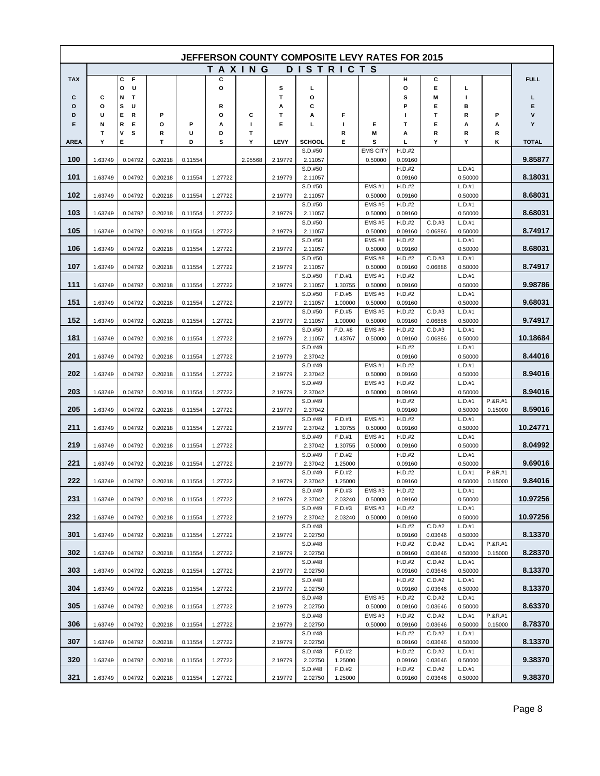| <b>JEFFERSON COUNTY COMPOSITE LEVY RATES FOR 2015</b> |         |                  |         |         |               |         |         |                    |                   |                            |                   |                   |                   |                    |              |
|-------------------------------------------------------|---------|------------------|---------|---------|---------------|---------|---------|--------------------|-------------------|----------------------------|-------------------|-------------------|-------------------|--------------------|--------------|
|                                                       |         |                  |         |         | <b>TAXING</b> |         |         |                    | <b>DISTRICTS</b>  |                            |                   |                   |                   |                    |              |
| <b>TAX</b>                                            |         | С<br>F           |         |         | c             |         |         |                    |                   |                            | н                 | С                 |                   |                    | <b>FULL</b>  |
|                                                       |         | o<br>U           |         |         | o             |         | s       | L                  |                   |                            | О                 | Е                 | L                 |                    |              |
| С<br>о                                                | С<br>О  | Т<br>N<br>s<br>U |         |         | R             |         | т<br>А  | О<br>С             |                   |                            | s<br>P            | M<br>Е            | п<br>в            |                    | г<br>Е       |
| D                                                     | U       | Е<br>R           | Ρ       |         | О             | c       | т       | А                  | F                 |                            | ш                 | т                 | R                 | P                  | v            |
| Е                                                     | N       | R<br>Е           | O       | P       | Α             | L       | Е       | L                  | I.                | Е                          | т                 | Е                 | Α                 | Α                  | Y            |
|                                                       | т       | s<br>٧           | R       | U       | D             | T       |         |                    | R                 | M                          | Α                 | R                 | R                 | R                  |              |
| <b>AREA</b>                                           | Υ       | Е                | Т       | D       | s             | Υ       | LEVY    | <b>SCHOOL</b>      | Е                 | s                          | г                 | Υ                 | Y                 | κ                  | <b>TOTAL</b> |
| 100                                                   | 1.63749 | 0.04792          | 0.20218 | 0.11554 |               | 2.95568 | 2.19779 | S.D.#50<br>2.11057 |                   | <b>EMS CITY</b><br>0.50000 | H.D.#2<br>0.09160 |                   |                   |                    | 9.85877      |
|                                                       |         |                  |         |         |               |         |         | S.D.#50            |                   |                            | H.D.#2            |                   | L.D.#1            |                    |              |
| 101                                                   | 1.63749 | 0.04792          | 0.20218 | 0.11554 | 1.27722       |         | 2.19779 | 2.11057            |                   |                            | 0.09160           |                   | 0.50000           |                    | 8.18031      |
|                                                       |         |                  |         |         |               |         |         | S.D.#50            |                   | EMS#1                      | H.D.#2            |                   | L.D.#1            |                    |              |
| 102                                                   | 1.63749 | 0.04792          | 0.20218 | 0.11554 | 1.27722       |         | 2.19779 | 2.11057<br>S.D.#50 |                   | 0.50000<br><b>EMS#5</b>    | 0.09160<br>H.D.#2 |                   | 0.50000<br>L.D.#1 |                    | 8.68031      |
| 103                                                   | 1.63749 | 0.04792          | 0.20218 | 0.11554 | 1.27722       |         | 2.19779 | 2.11057            |                   | 0.50000                    | 0.09160           |                   | 0.50000           |                    | 8.68031      |
|                                                       |         |                  |         |         |               |         |         | S.D.#50            |                   | <b>EMS#5</b>               | H.D.#2            | C.D.#3            | L.D.#1            |                    |              |
| 105                                                   | 1.63749 | 0.04792          | 0.20218 | 0.11554 | 1.27722       |         | 2.19779 | 2.11057            |                   | 0.50000                    | 0.09160           | 0.06886           | 0.50000           |                    | 8.74917      |
| 106                                                   | 1.63749 | 0.04792          | 0.20218 | 0.11554 | 1.27722       |         | 2.19779 | S.D.#50            |                   | <b>EMS#8</b><br>0.50000    | H.D.#2<br>0.09160 |                   | L.D.#1<br>0.50000 |                    | 8.68031      |
|                                                       |         |                  |         |         |               |         |         | 2.11057<br>S.D.#50 |                   | <b>EMS#8</b>               | H.D.#2            | C.D.#3            | L.D.#1            |                    |              |
| 107                                                   | 1.63749 | 0.04792          | 0.20218 | 0.11554 | 1.27722       |         | 2.19779 | 2.11057            |                   | 0.50000                    | 0.09160           | 0.06886           | 0.50000           |                    | 8.74917      |
|                                                       |         |                  |         |         |               |         |         | S.D.#50            | F.D.#1            | <b>EMS#1</b>               | H.D.#2            |                   | L.D.#1            |                    |              |
| 111                                                   | 1.63749 | 0.04792          | 0.20218 | 0.11554 | 1.27722       |         | 2.19779 | 2.11057            | 1.30755           | 0.50000                    | 0.09160           |                   | 0.50000           |                    | 9.98786      |
| 151                                                   | 1.63749 | 0.04792          | 0.20218 | 0.11554 | 1.27722       |         | 2.19779 | S.D.#50<br>2.11057 | F.D.#5<br>1.00000 | <b>EMS#5</b><br>0.50000    | H.D.#2<br>0.09160 |                   | L.D.#1<br>0.50000 |                    | 9.68031      |
|                                                       |         |                  |         |         |               |         |         | S.D.#50            | F.D.#5            | <b>EMS#5</b>               | H.D.#2            | C.D.#3            | L.D.#1            |                    |              |
| 152                                                   | 1.63749 | 0.04792          | 0.20218 | 0.11554 | 1.27722       |         | 2.19779 | 2.11057            | 1.00000           | 0.50000                    | 0.09160           | 0.06886           | 0.50000           |                    | 9.74917      |
|                                                       |         |                  |         |         |               |         |         | S.D.#50            | F.D. #8           | <b>EMS#8</b>               | H.D.#2            | C.D.#3            | L.D.#1            |                    |              |
| 181                                                   | 1.63749 | 0.04792          | 0.20218 | 0.11554 | 1.27722       |         | 2.19779 | 2.11057<br>S.D.#49 | 1.43767           | 0.50000                    | 0.09160<br>H.D.#2 | 0.06886           | 0.50000<br>L.D.#1 |                    | 10.18684     |
| 201                                                   | 1.63749 | 0.04792          | 0.20218 | 0.11554 | 1.27722       |         | 2.19779 | 2.37042            |                   |                            | 0.09160           |                   | 0.50000           |                    | 8.44016      |
|                                                       |         |                  |         |         |               |         |         | S.D.#49            |                   | <b>EMS#1</b>               | H.D.#2            |                   | L.D.#1            |                    |              |
| 202                                                   | 1.63749 | 0.04792          | 0.20218 | 0.11554 | 1.27722       |         | 2.19779 | 2.37042            |                   | 0.50000                    | 0.09160           |                   | 0.50000           |                    | 8.94016      |
| 203                                                   | 1.63749 | 0.04792          | 0.20218 | 0.11554 | 1.27722       |         | 2.19779 | S.D.#49<br>2.37042 |                   | <b>EMS#3</b><br>0.50000    | H.D.#2<br>0.09160 |                   | L.D.#1<br>0.50000 |                    | 8.94016      |
|                                                       |         |                  |         |         |               |         |         | S.D.#49            |                   |                            | H.D.#2            |                   | L.D.#1            | $P.8R.+1$          |              |
| 205                                                   | 1.63749 | 0.04792          | 0.20218 | 0.11554 | 1.27722       |         | 2.19779 | 2.37042            |                   |                            | 0.09160           |                   | 0.50000           | 0.15000            | 8.59016      |
|                                                       |         |                  |         |         |               |         |         | S.D.#49            | F.D.#1            | <b>EMS#1</b>               | H.D.#2            |                   | L.D.#1            |                    |              |
| 211                                                   | 1.63749 | 0.04792          | 0.20218 | 0.11554 | 1.27722       |         | 2.19779 | 2.37042<br>S.D.#49 | 1.30755<br>F.D.#1 | 0.50000<br><b>EMS#1</b>    | 0.09160<br>H.D.#2 |                   | 0.50000<br>L.D.#1 |                    | 10.24771     |
| 219                                                   | 1.63749 | 0.04792          | 0.20218 | 0.11554 | 1.27722       |         |         | 2.37042            | 1.30755           | 0.50000                    | 0.09160           |                   | 0.50000           |                    | 8.04992      |
|                                                       |         |                  |         |         |               |         |         | S.D.#49            | F.D.#2            |                            | H.D.#2            |                   | L.D.#1            |                    |              |
| 221                                                   | 1.63749 | 0.04792          | 0.20218 | 0.11554 | 1.27722       |         | 2.19779 | 2.37042            | 1.25000           |                            | 0.09160           |                   | 0.50000           |                    | 9.69016      |
| 222                                                   | 1.63749 | 0.04792          | 0.20218 |         | 1.27722       |         | 2.19779 | S.D.#49<br>2.37042 | F.D.#2            |                            | H.D.#2<br>0.09160 |                   | L.D.#1<br>0.50000 | P.&R.#1<br>0.15000 | 9.84016      |
|                                                       |         |                  |         | 0.11554 |               |         |         | S.D.#49            | 1.25000<br>F.D.#3 | <b>EMS#3</b>               | H.D.#2            |                   | L.D.#1            |                    |              |
| 231                                                   | 1.63749 | 0.04792          | 0.20218 | 0.11554 | 1.27722       |         | 2.19779 | 2.37042            | 2.03240           | 0.50000                    | 0.09160           |                   | 0.50000           |                    | 10.97256     |
|                                                       |         |                  |         |         |               |         |         | S.D.#49            | F.D.#3            | EMS#3                      | H.D.#2            |                   | L.D.#1            |                    |              |
| 232                                                   | 1.63749 | 0.04792          | 0.20218 | 0.11554 | 1.27722       |         | 2.19779 | 2.37042            | 2.03240           | 0.50000                    | 0.09160           | C.D.#2            | 0.50000           |                    | 10.97256     |
| 301                                                   | 1.63749 | 0.04792          | 0.20218 | 0.11554 | 1.27722       |         | 2.19779 | S.D.#48<br>2.02750 |                   |                            | H.D.#2<br>0.09160 | 0.03646           | L.D.#1<br>0.50000 |                    | 8.13370      |
|                                                       |         |                  |         |         |               |         |         | S.D.#48            |                   |                            | H.D.#2            | C.D.#2            | L.D.#1            | P.&R.#1            |              |
| 302                                                   | 1.63749 | 0.04792          | 0.20218 | 0.11554 | 1.27722       |         | 2.19779 | 2.02750            |                   |                            | 0.09160           | 0.03646           | 0.50000           | 0.15000            | 8.28370      |
|                                                       |         |                  |         |         |               |         |         | S.D.#48            |                   |                            | H.D.#2            | C.D.#2            | L.D.#1            |                    | 8.13370      |
| 303                                                   | 1.63749 | 0.04792          | 0.20218 | 0.11554 | 1.27722       |         | 2.19779 | 2.02750<br>S.D.#48 |                   |                            | 0.09160<br>H.D.#2 | 0.03646<br>C.D.#2 | 0.50000<br>L.D.#1 |                    |              |
| 304                                                   | 1.63749 | 0.04792          | 0.20218 | 0.11554 | 1.27722       |         | 2.19779 | 2.02750            |                   |                            | 0.09160           | 0.03646           | 0.50000           |                    | 8.13370      |
|                                                       |         |                  |         |         |               |         |         | S.D.#48            |                   | <b>EMS#5</b>               | H.D.#2            | C.D.#2            | L.D.#1            |                    |              |
| 305                                                   | 1.63749 | 0.04792          | 0.20218 | 0.11554 | 1.27722       |         | 2.19779 | 2.02750            |                   | 0.50000                    | 0.09160           | 0.03646           | 0.50000           |                    | 8.63370      |
| 306                                                   | 1.63749 | 0.04792          | 0.20218 | 0.11554 | 1.27722       |         | 2.19779 | S.D.#48<br>2.02750 |                   | EMS#3<br>0.50000           | H.D.#2<br>0.09160 | C.D.#2<br>0.03646 | L.D.#1<br>0.50000 | P.&R.#1<br>0.15000 | 8.78370      |
|                                                       |         |                  |         |         |               |         |         | S.D.#48            |                   |                            | H.D.#2            | C.D.#2            | L.D.#1            |                    |              |
| 307                                                   | 1.63749 | 0.04792          | 0.20218 | 0.11554 | 1.27722       |         | 2.19779 | 2.02750            |                   |                            | 0.09160           | 0.03646           | 0.50000           |                    | 8.13370      |
|                                                       |         |                  |         |         |               |         |         | S.D.#48            | F.D.#2            |                            | H.D.#2            | C.D.#2            | L.D.#1            |                    |              |
| 320                                                   | 1.63749 | 0.04792          | 0.20218 | 0.11554 | 1.27722       |         | 2.19779 | 2.02750<br>S.D.#48 | 1.25000<br>F.D.#2 |                            | 0.09160<br>H.D.#2 | 0.03646<br>C.D.#2 | 0.50000<br>L.D.#1 |                    | 9.38370      |
| 321                                                   | 1.63749 | 0.04792          | 0.20218 | 0.11554 | 1.27722       |         | 2.19779 | 2.02750            | 1.25000           |                            | 0.09160           | 0.03646           | 0.50000           |                    | 9.38370      |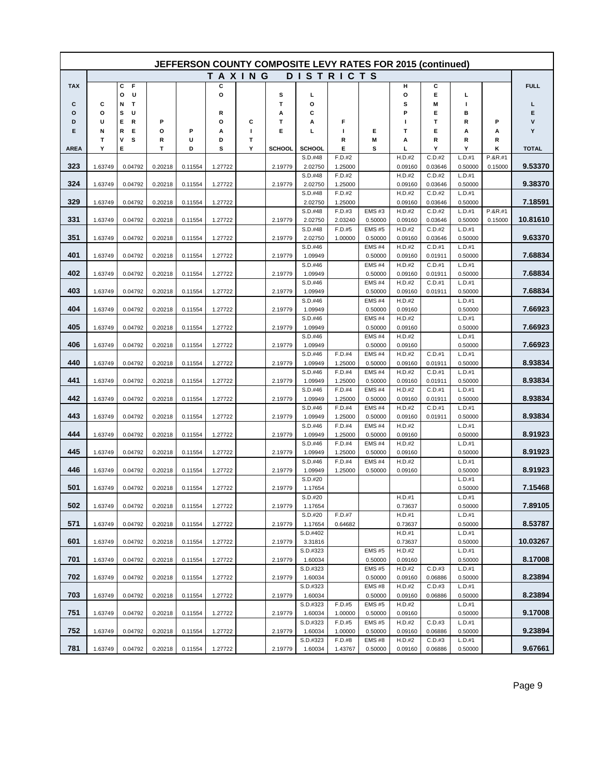| JEFFERSON COUNTY COMPOSITE LEVY RATES FOR 2015 (continued) |         |                  |         |         |         |   |         |                     |                   |                         |                   |                   |                   |         |              |
|------------------------------------------------------------|---------|------------------|---------|---------|---------|---|---------|---------------------|-------------------|-------------------------|-------------------|-------------------|-------------------|---------|--------------|
|                                                            |         |                  |         |         | TAXING  |   |         |                     | <b>DISTRICTS</b>  |                         |                   |                   |                   |         |              |
| <b>TAX</b>                                                 |         | С<br>F           |         |         | c       |   |         |                     |                   |                         | н                 | c                 |                   |         | <b>FULL</b>  |
|                                                            |         | U<br>О           |         |         | o       |   | s       | L                   |                   |                         | o                 | Е                 | L                 |         |              |
| С<br>о                                                     | С<br>О  | Т<br>N<br>U<br>s |         |         | R       |   | T<br>Α  | О<br>С              |                   |                         | s<br>Р            | M<br>Е            | п<br>в            |         | L<br>Е       |
| D                                                          | U       | Е<br>R           | Р       |         | О       | c | т       | А                   | F                 |                         | ш                 | т                 | R                 | P       | v            |
| Е                                                          | N       | Е<br>R           | o       | Р       | А       | п | E       | L                   | п                 | Е                       | т                 | Е                 | А                 | А       | Y            |
|                                                            | т       | ٧<br>s           | R       | U       | D       | Т |         |                     | R                 | M                       | А                 | R                 | R                 | R       |              |
| AREA                                                       | Υ       | Е                | T       | D       | s       | Υ | SCHOOL  | <b>SCHOOL</b>       | Е                 | s                       | L                 | Y                 | Υ                 | κ       | <b>TOTAL</b> |
| 323                                                        |         | 0.04792          | 0.20218 |         |         |   |         | S.D.#48             | F.D.#2            |                         | H.D.#2            | C.D.#2            | L.D.#1            | P.&R.#1 | 9.53370      |
|                                                            | 1.63749 |                  |         | 0.11554 | 1.27722 |   | 2.19779 | 2.02750<br>S.D.#48  | 1.25000<br>F.D.#2 |                         | 0.09160<br>H.D.#2 | 0.03646<br>C.D.#2 | 0.50000<br>L.D.#1 | 0.15000 |              |
| 324                                                        | 1.63749 | 0.04792          | 0.20218 | 0.11554 | 1.27722 |   | 2.19779 | 2.02750             | 1.25000           |                         | 0.09160           | 0.03646           | 0.50000           |         | 9.38370      |
|                                                            |         |                  |         |         |         |   |         | S.D.#48             | F.D.#2            |                         | H.D.#2            | C.D.#2            | L.D.#1            |         |              |
| 329                                                        | 1.63749 | 0.04792          | 0.20218 | 0.11554 | 1.27722 |   |         | 2.02750             | 1.25000           |                         | 0.09160           | 0.03646           | 0.50000           |         | 7.18591      |
|                                                            |         |                  |         |         |         |   |         | S.D.#48             | F.D.#3            | <b>EMS#3</b>            | H.D.#2            | C.D.#2            | L.D.#1            | P.&R.#1 | 10.81610     |
| 331                                                        | 1.63749 | 0.04792          | 0.20218 | 0.11554 | 1.27722 |   | 2.19779 | 2.02750<br>S.D.#48  | 2.03240<br>F.D.#5 | 0.50000<br><b>EMS#5</b> | 0.09160<br>H.D.#2 | 0.03646<br>C.D.#2 | 0.50000<br>L.D.#1 | 0.15000 |              |
| 351                                                        | 1.63749 | 0.04792          | 0.20218 | 0.11554 | 1.27722 |   | 2.19779 | 2.02750             | 1.00000           | 0.50000                 | 0.09160           | 0.03646           | 0.50000           |         | 9.63370      |
|                                                            |         |                  |         |         |         |   |         | S.D.#46             |                   | EMS#4                   | H.D.#2            | C.D.#1            | L.D.#1            |         |              |
| 401                                                        | 1.63749 | 0.04792          | 0.20218 | 0.11554 | 1.27722 |   | 2.19779 | 1.09949             |                   | 0.50000                 | 0.09160           | 0.01911           | 0.50000           |         | 7.68834      |
|                                                            |         |                  |         |         |         |   |         | S.D.#46             |                   | <b>EMS#4</b>            | H.D.#2            | C.D.#1            | L.D.#1            |         |              |
| 402                                                        | 1.63749 | 0.04792          | 0.20218 | 0.11554 | 1.27722 |   | 2.19779 | 1.09949<br>S.D.#46  |                   | 0.50000<br><b>EMS#4</b> | 0.09160<br>H.D.#2 | 0.01911<br>C.D.#1 | 0.50000<br>L.D.#1 |         | 7.68834      |
| 403                                                        | 1.63749 | 0.04792          | 0.20218 | 0.11554 | 1.27722 |   | 2.19779 | 1.09949             |                   | 0.50000                 | 0.09160           | 0.01911           | 0.50000           |         | 7.68834      |
|                                                            |         |                  |         |         |         |   |         | S.D.#46             |                   | <b>EMS#4</b>            | H.D.#2            |                   | L.D.#1            |         |              |
| 404                                                        | 1.63749 | 0.04792          | 0.20218 | 0.11554 | 1.27722 |   | 2.19779 | 1.09949             |                   | 0.50000                 | 0.09160           |                   | 0.50000           |         | 7.66923      |
|                                                            |         |                  |         |         |         |   |         | S.D.#46             |                   | <b>EMS#4</b>            | H.D.#2            |                   | L.D.#1            |         |              |
| 405                                                        | 1.63749 | 0.04792          | 0.20218 | 0.11554 | 1.27722 |   | 2.19779 | 1.09949<br>S.D.#46  |                   | 0.50000<br><b>EMS#4</b> | 0.09160<br>H.D.#2 |                   | 0.50000<br>L.D.#1 |         | 7.66923      |
| 406                                                        | 1.63749 | 0.04792          | 0.20218 | 0.11554 | 1.27722 |   | 2.19779 | 1.09949             |                   | 0.50000                 | 0.09160           |                   | 0.50000           |         | 7.66923      |
|                                                            |         |                  |         |         |         |   |         | S.D.#46             | F.D.#4            | <b>EMS#4</b>            | H.D.#2            | C.D.#1            | L.D.#1            |         |              |
| 440                                                        | 1.63749 | 0.04792          | 0.20218 | 0.11554 | 1.27722 |   | 2.19779 | 1.09949             | 1.25000           | 0.50000                 | 0.09160           | 0.01911           | 0.50000           |         | 8.93834      |
|                                                            |         |                  |         |         |         |   |         | S.D.#46             | F.D.#4            | <b>EMS#4</b>            | H.D.#2            | C.D.#1            | L.D.#1            |         |              |
| 441                                                        | 1.63749 | 0.04792          | 0.20218 | 0.11554 | 1.27722 |   | 2.19779 | 1.09949<br>S.D.#46  | 1.25000<br>F.D.#4 | 0.50000<br><b>EMS#4</b> | 0.09160           | 0.01911<br>C.D.#1 | 0.50000<br>L.D.#1 |         | 8.93834      |
| 442                                                        | 1.63749 | 0.04792          | 0.20218 | 0.11554 | 1.27722 |   | 2.19779 | 1.09949             | 1.25000           | 0.50000                 | H.D.#2<br>0.09160 | 0.01911           | 0.50000           |         | 8.93834      |
|                                                            |         |                  |         |         |         |   |         | S.D.#46             | F.D.#4            | <b>EMS#4</b>            | H.D.#2            | C.D.#1            | L.D.#1            |         |              |
| 443                                                        | 1.63749 | 0.04792          | 0.20218 | 0.11554 | 1.27722 |   | 2.19779 | 1.09949             | 1.25000           | 0.50000                 | 0.09160           | 0.01911           | 0.50000           |         | 8.93834      |
|                                                            |         |                  |         |         |         |   |         | S.D.#46             | F.D.#4            | <b>EMS#4</b>            | H.D.#2            |                   | L.D.#1            |         |              |
| 444                                                        | 1.63749 | 0.04792          | 0.20218 | 0.11554 | 1.27722 |   | 2.19779 | 1.09949<br>S.D.#46  | 1.25000<br>F.D.#4 | 0.50000<br><b>EMS#4</b> | 0.09160<br>H.D.#2 |                   | 0.50000<br>L.D.#1 |         | 8.91923      |
| 445                                                        | 1.63749 | 0.04792          | 0.20218 | 0.11554 | 1.27722 |   | 2.19779 | 1.09949             | 1.25000           | 0.50000                 | 0.09160           |                   | 0.50000           |         | 8.91923      |
|                                                            |         |                  |         |         |         |   |         | S.D.#46             | F.D.#4            | <b>EMS#4</b>            | H.D.#2            |                   | L.D.#1            |         |              |
| 446                                                        | 1.63749 | 0.04792          | 0.20218 | 0.11554 | 1.27722 |   | 2.19779 | 1.09949             | 1.25000           | 0.50000                 | 0.09160           |                   | 0.50000           |         | 8.91923      |
|                                                            |         |                  |         |         |         |   |         | S.D.#20             |                   |                         |                   |                   | L.D.#1            |         |              |
| 501                                                        | 1.63749 | 0.04792          | 0.20218 | 0.11554 | 1.27722 |   | 2.19779 | 1.17654<br>S.D.#20  |                   |                         | H.D.#1            |                   | 0.50000<br>L.D.#1 |         | 7.15468      |
| 502                                                        | 1.63749 | 0.04792          | 0.20218 | 0.11554 | 1.27722 |   | 2.19779 | 1.17654             |                   |                         | 0.73637           |                   | 0.50000           |         | 7.89105      |
|                                                            |         |                  |         |         |         |   |         | S.D.#20             | F.D.#7            |                         | H.D.#1            |                   | L.D.#1            |         |              |
| 571                                                        | 1.63749 | 0.04792          | 0.20218 | 0.11554 | 1.27722 |   | 2.19779 | 1.17654             | 0.64682           |                         | 0.73637           |                   | 0.50000           |         | 8.53787      |
|                                                            |         |                  |         |         |         |   |         | S.D.#402            |                   |                         | H.D.#1            |                   | L.D.#1            |         |              |
| 601                                                        | 1.63749 | 0.04792          | 0.20218 | 0.11554 | 1.27722 |   | 2.19779 | 3.31816<br>S.D.#323 |                   | <b>EMS#5</b>            | 0.73637<br>H.D.#2 |                   | 0.50000<br>L.D.#1 |         | 10.03267     |
| 701                                                        | 1.63749 | 0.04792          | 0.20218 | 0.11554 | 1.27722 |   | 2.19779 | 1.60034             |                   | 0.50000                 | 0.09160           |                   | 0.50000           |         | 8.17008      |
|                                                            |         |                  |         |         |         |   |         | S.D.#323            |                   | <b>EMS#5</b>            | H.D.#2            | C.D.#3            | L.D.#1            |         |              |
| 702                                                        | 1.63749 | 0.04792          | 0.20218 | 0.11554 | 1.27722 |   | 2.19779 | 1.60034             |                   | 0.50000                 | 0.09160           | 0.06886           | 0.50000           |         | 8.23894      |
|                                                            |         |                  |         |         |         |   |         | S.D.#323            |                   | <b>EMS#8</b>            | H.D.#2            | C.D.#3            | L.D.#1            |         |              |
| 703                                                        | 1.63749 | 0.04792          | 0.20218 | 0.11554 | 1.27722 |   | 2.19779 | 1.60034<br>S.D.#323 | F.D.#5            | 0.50000<br><b>EMS#5</b> | 0.09160<br>H.D.#2 | 0.06886           | 0.50000<br>L.D.#1 |         | 8.23894      |
| 751                                                        | 1.63749 | 0.04792          | 0.20218 | 0.11554 | 1.27722 |   | 2.19779 | 1.60034             | 1.00000           | 0.50000                 | 0.09160           |                   | 0.50000           |         | 9.17008      |
|                                                            |         |                  |         |         |         |   |         | S.D.#323            | F.D.#5            | <b>EMS#5</b>            | H.D.#2            | C.D.#3            | L.D.#1            |         |              |
| 752                                                        | 1.63749 | 0.04792          | 0.20218 | 0.11554 | 1.27722 |   | 2.19779 | 1.60034             | 1.00000           | 0.50000                 | 0.09160           | 0.06886           | 0.50000           |         | 9.23894      |
| 781                                                        |         |                  |         |         |         |   |         | S.D.#323            | F.D.#8            | <b>EMS#8</b>            | H.D.#2            | C.D.#3            | L.D.#1            |         | 9.67661      |
|                                                            | 1.63749 | 0.04792          | 0.20218 | 0.11554 | 1.27722 |   | 2.19779 | 1.60034             | 1.43767           | 0.50000                 | 0.09160           | 0.06886           | 0.50000           |         |              |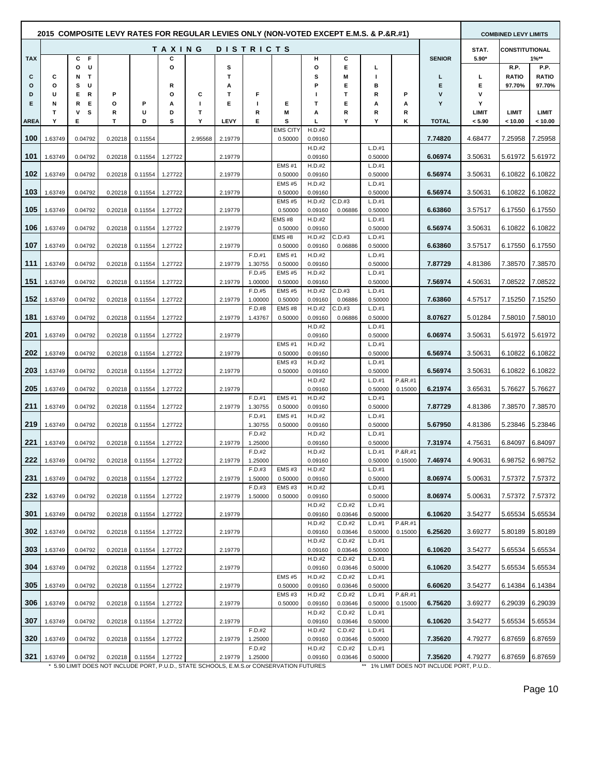|             | 2015 COMPOSITE LEVY RATES FOR REGULAR LEVIES ONLY (NON-VOTED EXCEPT E.M.S. & P.&R.#1) |                             |         |         |               |                   |         |                   |                          |                   |                   |                   |         |               |            | <b>COMBINED LEVY LIMITS</b> |                      |
|-------------|---------------------------------------------------------------------------------------|-----------------------------|---------|---------|---------------|-------------------|---------|-------------------|--------------------------|-------------------|-------------------|-------------------|---------|---------------|------------|-----------------------------|----------------------|
|             |                                                                                       |                             |         |         | <b>TAXING</b> |                   |         | <b>DISTRICTS</b>  |                          |                   |                   |                   |         |               | STAT.      | <b>CONSTITUTIONAL</b>       |                      |
| <b>TAX</b>  |                                                                                       | C F                         |         |         | С             |                   |         |                   |                          | н                 | С                 |                   |         | <b>SENIOR</b> | $5.90*$    |                             | $1\%**$              |
| C           | C                                                                                     | U<br>o<br>$\mathbf{T}$<br>Ν |         |         | o             |                   | s<br>T. |                   |                          | O<br>s            | Е<br>Μ            | г<br>J.           |         | L             | L          | R.P.<br><b>RATIO</b>        | P.P.<br><b>RATIO</b> |
| $\circ$     | O                                                                                     | s<br>U                      |         |         | R             |                   | А       |                   |                          | P                 | Е                 | в                 |         | Е             | Е          | 97.70%                      | 97.70%               |
| D           | U                                                                                     | E.<br>R                     | Р       |         | O             | C                 | т       | F                 |                          |                   | т                 | R                 | P       | $\mathsf{v}$  | ۷          |                             |                      |
| Е           | N<br>т                                                                                | R<br>E<br>۷<br>s            | o<br>R  | P<br>U  | А<br>D        | $\mathbf{I}$<br>т | Е       | $\mathbf{I}$<br>R | Е<br>М                   | т<br>А            | Е<br>R            | А<br>R            | Α<br>R  | Υ             | Y<br>LIMIT | <b>LIMIT</b>                | LIMIT                |
| <b>AREA</b> | Υ                                                                                     | Е                           | T       | D       | s             | Υ                 | LEVY    | Е                 | s                        | г                 | Y                 | Y                 | κ       | <b>TOTAL</b>  | < 5.90     | < 10.00                     | < 10.00              |
|             |                                                                                       |                             |         |         |               |                   |         |                   | <b>EMS CITY</b>          | H.D.#2            |                   |                   |         |               |            |                             |                      |
| 100         | 1.63749                                                                               | 0.04792                     | 0.20218 | 0.11554 |               | 2.95568           | 2.19779 |                   | 0.50000                  | 0.09160<br>H.D.#2 |                   | L.D.#1            |         | 7.74820       | 4.68477    | 7.25958                     | 7.25958              |
| 101         | 1.63749                                                                               | 0.04792                     | 0.20218 | 0.11554 | 1.27722       |                   | 2.19779 |                   |                          | 0.09160           |                   | 0.50000           |         | 6.06974       | 3.50631    | 5.61972                     | 5.61972              |
|             |                                                                                       |                             |         |         |               |                   |         |                   | <b>EMS #1</b>            | H.D.#2            |                   | L.D.#1            |         |               |            |                             |                      |
| 102         | 1.63749                                                                               | 0.04792                     | 0.20218 | 0.11554 | 1.27722       |                   | 2.19779 |                   | 0.50000                  | 0.09160           |                   | 0.50000           |         | 6.56974       | 3.50631    | 6.10822                     | 6.10822              |
| 103         | 1.63749                                                                               | 0.04792                     | 0.20218 | 0.11554 | 1.27722       |                   | 2.19779 |                   | <b>EMS #5</b><br>0.50000 | H.D.#2<br>0.09160 |                   | L.D.#1<br>0.50000 |         | 6.56974       | 3.50631    | 6.10822                     | 6.10822              |
|             |                                                                                       |                             |         |         |               |                   |         |                   | <b>EMS #5</b>            | H.D.#2            | C.D.#3            | L.D.#1            |         |               |            |                             |                      |
| 105         | 1.63749                                                                               | 0.04792                     | 0.20218 | 0.11554 | 1.27722       |                   | 2.19779 |                   | 0.50000                  | 0.09160           | 0.06886           | 0.50000           |         | 6.63860       | 3.57517    | 6.17550                     | 6.17550              |
| 106         | 1.63749                                                                               | 0.04792                     | 0.20218 | 0.11554 | 1.27722       |                   | 2.19779 |                   | <b>EMS#8</b><br>0.50000  | H.D.#2<br>0.09160 |                   | L.D.#1<br>0.50000 |         | 6.56974       | 3.50631    | 6.10822                     | 6.10822              |
|             |                                                                                       |                             |         |         |               |                   |         |                   | EMS#8                    | H.D.#2            | C.D.#3            | L.D.#1            |         |               |            |                             |                      |
| 107         | 1.63749                                                                               | 0.04792                     | 0.20218 | 0.11554 | 1.27722       |                   | 2.19779 |                   | 0.50000                  | 0.09160           | 0.06886           | 0.50000           |         | 6.63860       | 3.57517    | 6.17550                     | 6.17550              |
| 111         | 1.63749                                                                               | 0.04792                     | 0.20218 | 0.11554 | 1.27722       |                   | 2.19779 | F.D.#1<br>1.30755 | <b>EMS#1</b><br>0.50000  | H.D.#2<br>0.09160 |                   | L.D.#1<br>0.50000 |         | 7.87729       | 4.81386    | 7.38570                     | 7.38570              |
|             |                                                                                       |                             |         |         |               |                   |         | F.D.#5            | <b>EMS #5</b>            | H.D.#2            |                   | L.D.#1            |         |               |            |                             |                      |
| 151         | 1.63749                                                                               | 0.04792                     | 0.20218 | 0.11554 | 1.27722       |                   | 2.19779 | 1.00000           | 0.50000                  | 0.09160           |                   | 0.50000           |         | 7.56974       | 4.50631    | 7.08522                     | 7.08522              |
| 152         |                                                                                       |                             |         |         |               |                   |         | F.D.#5            | <b>EMS #5</b>            | H.D.#2            | C.D.#3            | L.D.#1            |         |               |            |                             |                      |
|             | 1.63749                                                                               | 0.04792                     | 0.20218 | 0.11554 | 1.27722       |                   | 2.19779 | 1.00000<br>F.D.#8 | 0.50000<br><b>EMS #8</b> | 0.09160<br>H.D.#2 | 0.06886<br>C.D.#3 | 0.50000<br>L.D.#1 |         | 7.63860       | 4.57517    | 7.15250                     | 7.15250              |
| 181         | 1.63749                                                                               | 0.04792                     | 0.20218 | 0.11554 | 1.27722       |                   | 2.19779 | 1.43767           | 0.50000                  | 0.09160           | 0.06886           | 0.50000           |         | 8.07627       | 5.01284    | 7.58010                     | 7.58010              |
|             |                                                                                       |                             |         |         |               |                   |         |                   |                          | H.D.#2            |                   | L.D.#1            |         |               |            |                             |                      |
| 201         | 1.63749                                                                               | 0.04792                     | 0.20218 | 0.11554 | 1.27722       |                   | 2.19779 |                   | <b>EMS#1</b>             | 0.09160<br>H.D.#2 |                   | 0.50000<br>L.D.#1 |         | 6.06974       | 3.50631    | 5.61972                     | 5.61972              |
| 202         | 1.63749                                                                               | 0.04792                     | 0.20218 | 0.11554 | 1.27722       |                   | 2.19779 |                   | 0.50000                  | 0.09160           |                   | 0.50000           |         | 6.56974       | 3.50631    | 6.10822                     | 6.10822              |
|             |                                                                                       |                             |         |         |               |                   |         |                   | <b>EMS#3</b>             | H.D.#2            |                   | L.D.#1            |         |               |            |                             |                      |
| 203         | 1.63749                                                                               | 0.04792                     | 0.20218 | 0.11554 | 1.27722       |                   | 2.19779 |                   | 0.50000                  | 0.09160<br>H.D.#2 |                   | 0.50000<br>L.D.#1 | P.&R.#1 | 6.56974       | 3.50631    | 6.10822                     | 6.10822              |
| 205         | 1.63749                                                                               | 0.04792                     | 0.20218 | 0.11554 | 1.27722       |                   | 2.19779 |                   |                          | 0.09160           |                   | 0.50000           | 0.15000 | 6.21974       | 3.65631    | 5.76627                     | 5.76627              |
|             |                                                                                       |                             |         |         |               |                   |         | F.D.#1            | <b>EMS#1</b>             | H.D.#2            |                   | L.D.#1            |         |               |            |                             |                      |
| 211         | 1.63749                                                                               | 0.04792                     | 0.20218 | 0.11554 | 1.27722       |                   | 2.19779 | 1.30755<br>F.D.#1 | 0.50000<br><b>EMS#1</b>  | 0.09160<br>H.D.#2 |                   | 0.50000<br>L.D.#1 |         | 7.87729       | 4.81386    | 7.38570                     | 7.38570              |
| 219         | 1.63749                                                                               | 0.04792                     | 0.20218 | 0.11554 | 1.27722       |                   |         | 1.30755           | 0.50000                  | 0.09160           |                   | 0.50000           |         | 5.67950       | 4.81386    | 5.23846                     | 5.23846              |
|             |                                                                                       |                             |         |         |               |                   |         | F.D.#2            |                          | H.D.#2            |                   | L.D.#1            |         |               |            |                             |                      |
| 221         | 1.63749                                                                               | 0.04792                     | 0.20218 | 0.11554 | 1.27722       |                   | 2.19779 | 1.25000<br>F.D.#2 |                          | 0.09160<br>H.D.#2 |                   | 0.50000<br>L.D.#1 | P.&R.#1 | 7.31974       | 4.75631    | 6.84097                     | 6.84097              |
| 222         | 1.63749                                                                               | 0.04792                     | 0.20218 | 0.11554 | 1.27722       |                   | 2.19779 | 1.25000           |                          | 0.09160           |                   | 0.50000           | 0.15000 | 7.46974       | 4.90631    | 6.98752                     | 6.98752              |
|             |                                                                                       |                             |         |         |               |                   |         | F.D.#3            | <b>EMS#3</b>             | H.D.#2            |                   | L.D.#1            |         |               |            |                             |                      |
| 231         | 1.63749                                                                               | 0.04792                     | 0.20218 | 0.11554 | 1.27722       |                   | 2.19779 | 1.50000<br>F.D.#3 | 0.50000<br><b>EMS#3</b>  | 0.09160<br>H.D.#2 |                   | 0.50000<br>L.D.#1 |         | 8.06974       | 5.00631    | 7.57372                     | 7.57372              |
| 232         | 1.63749                                                                               | 0.04792                     | 0.20218 | 0.11554 | 1.27722       |                   | 2.19779 | 1.50000           | 0.50000                  | 0.09160           |                   | 0.50000           |         | 8.06974       | 5.00631    | 7.57372                     | 7.57372              |
|             |                                                                                       |                             |         |         |               |                   |         |                   |                          | H.D.#2            | C.D.#2            | L.D.#1            |         |               |            |                             |                      |
| 301         | 1.63749                                                                               | 0.04792                     | 0.20218 | 0.11554 | 1.27722       |                   | 2.19779 |                   |                          | 0.09160<br>H.D.#2 | 0.03646<br>C.D.#2 | 0.50000<br>L.D.#1 | P.&R.#1 | 6.10620       | 3.54277    | 5.65534                     | 5.65534              |
| 302         | 1.63749                                                                               | 0.04792                     | 0.20218 | 0.11554 | 1.27722       |                   | 2.19779 |                   |                          | 0.09160           | 0.03646           | 0.50000           | 0.15000 | 6.25620       | 3.69277    | 5.80189                     | 5.80189              |
|             |                                                                                       |                             |         |         |               |                   |         |                   |                          | H.D.#2            | C.D.#2            | L.D.#1            |         |               |            |                             |                      |
| 303         | 1.63749                                                                               | 0.04792                     | 0.20218 | 0.11554 | 1.27722       |                   | 2.19779 |                   |                          | 0.09160<br>H.D.#2 | 0.03646<br>C.D.#2 | 0.50000<br>L.D.#1 |         | 6.10620       | 3.54277    | 5.65534                     | 5.65534              |
| 304         | 1.63749                                                                               | 0.04792                     | 0.20218 | 0.11554 | 1.27722       |                   | 2.19779 |                   |                          | 0.09160           | 0.03646           | 0.50000           |         | 6.10620       | 3.54277    | 5.65534                     | 5.65534              |
|             |                                                                                       |                             |         |         |               |                   |         |                   | <b>EMS #5</b>            | H.D.#2            | C.D.#2            | L.D.#1            |         |               |            |                             |                      |
| 305         | 1.63749                                                                               | 0.04792                     | 0.20218 | 0.11554 | 1.27722       |                   | 2.19779 |                   | 0.50000                  | 0.09160           | 0.03646           | 0.50000           | P.&R.#1 | 6.60620       | 3.54277    | 6.14384                     | 6.14384              |
| 306         | 1.63749                                                                               | 0.04792                     | 0.20218 | 0.11554 | 1.27722       |                   | 2.19779 |                   | <b>EMS#3</b><br>0.50000  | H.D.#2<br>0.09160 | C.D.#2<br>0.03646 | L.D.#1<br>0.50000 | 0.15000 | 6.75620       | 3.69277    | 6.29039                     | 6.29039              |
|             |                                                                                       |                             |         |         |               |                   |         |                   |                          | H.D.#2            | C.D.#2            | L.D.#1            |         |               |            |                             |                      |
| 307         | 1.63749                                                                               | 0.04792                     | 0.20218 | 0.11554 | 1.27722       |                   | 2.19779 |                   |                          | 0.09160           | 0.03646           | 0.50000           |         | 6.10620       | 3.54277    | 5.65534                     | 5.65534              |
| 320         | 1.63749                                                                               | 0.04792                     | 0.20218 | 0.11554 | 1.27722       |                   | 2.19779 | F.D.#2<br>1.25000 |                          | H.D.#2<br>0.09160 | C.D.#2<br>0.03646 | L.D.#1<br>0.50000 |         | 7.35620       | 4.79277    | 6.87659                     | 6.87659              |
|             |                                                                                       |                             |         |         |               |                   |         | F.D.#2            |                          | H.D.#2            | C.D.#2            | L.D.#1            |         |               |            |                             |                      |
| 321         | 1.63749                                                                               | 0.04792                     | 0.20218 | 0.11554 | 1.27722       |                   | 2.19779 | 1.25000           |                          | 0.09160           | 0.03646           | 0.50000           |         | 7.35620       | 4.79277    | 6.87659                     | 6.87659              |

\*\* 1% LIMIT DOES NOT INCLUDE PORT, P.U.D.. \* 5.90 LIMIT DOES NOT INCLUDE PORT, P.U.D., STATE SCHOOLS, E.M.S.or CONSERVATION FUTURES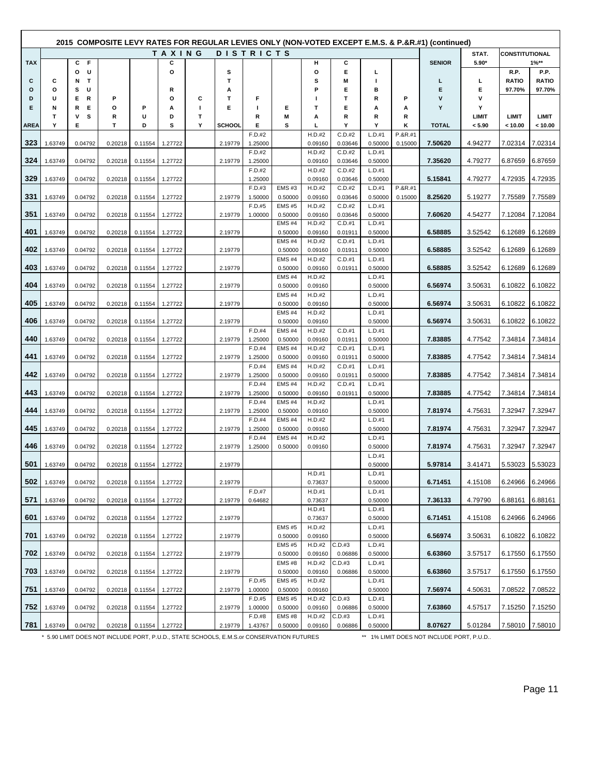|             |         |                  |         |         |         |              |               |                   |                              |                   |                   |                   |           | (composite LEVY RATES FOR REGULAR LEVIES ONLY (NON-VOTED EXCEPT E.M.S. & P.&R.#1) (continued) |                 |                         |                      |
|-------------|---------|------------------|---------|---------|---------|--------------|---------------|-------------------|------------------------------|-------------------|-------------------|-------------------|-----------|-----------------------------------------------------------------------------------------------|-----------------|-------------------------|----------------------|
|             |         |                  |         |         | TAXING  |              |               | <b>DISTRICTS</b>  |                              |                   |                   |                   |           |                                                                                               | STAT.           | <b>CONSTITUTIONAL</b>   |                      |
| <b>TAX</b>  |         | С<br>F           |         |         | С       |              |               |                   |                              | н                 | С                 |                   |           | <b>SENIOR</b>                                                                                 | 5.90*           |                         | $1\%**$              |
| С           | С       | U<br>o<br>T<br>N |         |         | $\circ$ |              | s<br>т        |                   |                              | o<br>s            | Е<br>Μ            | г<br>I.           |           | г                                                                                             | L               | R.P.<br><b>RATIO</b>    | P.P.<br><b>RATIO</b> |
| o           | $\circ$ | U<br>s           |         |         | R       |              | А             |                   |                              | P                 | Е                 | в                 |           | Е                                                                                             | E               | 97.70%                  | 97.70%               |
| D           | U       | R<br>Е           | P       |         | o       | С            | т             | F                 |                              |                   | т                 | R                 | P         | v                                                                                             | v               |                         |                      |
| Е           | N       | Е<br>R           | O       | Р       | А       | $\mathbf{I}$ | Е             | ш                 | Е                            | т                 | Е                 | А                 | А         | Y                                                                                             | Υ               |                         |                      |
| <b>AREA</b> | Т<br>Y  | s<br>ν<br>Е      | R<br>Т  | U<br>D  | D<br>s  | т<br>Y       | <b>SCHOOL</b> | R<br>Е            | М<br>s                       | А<br>г            | R<br>Υ            | R<br>Y            | R<br>K    | <b>TOTAL</b>                                                                                  | LIMIT<br>< 5.90 | <b>LIMIT</b><br>< 10.00 | LIMIT<br>< 10.00     |
|             |         |                  |         |         |         |              |               | F.D.#2            |                              | H.D.#2            | C.D.#2            | L.D.#1            | P.&R.#1   |                                                                                               |                 |                         |                      |
| 323         | 1.63749 | 0.04792          | 0.20218 | 0.11554 | 1.27722 |              | 2.19779       | 1.25000           |                              | 0.09160           | 0.03646           | 0.50000           | 0.15000   | 7.50620                                                                                       | 4.94277         | 7.02314                 | 7.02314              |
| 324         |         |                  |         |         | 1.27722 |              | 2.19779       | F.D.#2            |                              | H.D.#2            | C.D.#2            | L.D.#1            |           | 7.35620                                                                                       | 4.79277         |                         |                      |
|             | 1.63749 | 0.04792          | 0.20218 | 0.11554 |         |              |               | 1.25000<br>F.D.#2 |                              | 0.09160<br>H.D.#2 | 0.03646<br>C.D.#2 | 0.50000<br>L.D.#1 |           |                                                                                               |                 | 6.87659                 | 6.87659              |
| 329         | 1.63749 | 0.04792          | 0.20218 | 0.11554 | 1.27722 |              |               | 1.25000           |                              | 0.09160           | 0.03646           | 0.50000           |           | 5.15841                                                                                       | 4.79277         | 4.72935                 | 4.72935              |
|             |         |                  |         |         |         |              |               | F.D.#3            | <b>EMS#3</b>                 | H.D.#2            | C.D.#2            | L.D.#1            | $P.8R.+1$ |                                                                                               |                 |                         |                      |
| 331         | 1.63749 | 0.04792          | 0.20218 | 0.11554 | 1.27722 |              | 2.19779       | 1.50000<br>F.D.#5 | 0.50000<br><b>EMS #5</b>     | 0.09160<br>H.D.#2 | 0.03646<br>C.D.#2 | 0.50000<br>L.D.#1 | 0.15000   | 8.25620                                                                                       | 5.19277         | 7.75589                 | 7.75589              |
| 351         | 1.63749 | 0.04792          | 0.20218 | 0.11554 | 1.27722 |              | 2.19779       | 1.00000           | 0.50000                      | 0.09160           | 0.03646           | 0.50000           |           | 7.60620                                                                                       | 4.54277         | 7.12084                 | 7.12084              |
|             |         |                  |         |         |         |              |               |                   | <b>EMS #4</b>                | H.D.#2            | C.D.#1            | L.D.#1            |           |                                                                                               |                 |                         |                      |
| 401         | 1.63749 | 0.04792          | 0.20218 | 0.11554 | 1.27722 |              | 2.19779       |                   | 0.50000                      | 0.09160           | 0.01911           | 0.50000           |           | 6.58885                                                                                       | 3.52542         | 6.12689                 | 6.12689              |
| 402         | 1.63749 | 0.04792          | 0.20218 | 0.11554 | 1.27722 |              | 2.19779       |                   | <b>EMS #4</b><br>0.50000     | H.D.#2<br>0.09160 | C.D.#1<br>0.01911 | L.D.#1<br>0.50000 |           | 6.58885                                                                                       | 3.52542         | 6.12689                 | 6.12689              |
|             |         |                  |         |         |         |              |               |                   | <b>EMS#4</b>                 | H.D.#2            | C.D.#1            | L.D.#1            |           |                                                                                               |                 |                         |                      |
| 403         | 1.63749 | 0.04792          | 0.20218 | 0.11554 | 1.27722 |              | 2.19779       |                   | 0.50000                      | 0.09160           | 0.01911           | 0.50000           |           | 6.58885                                                                                       | 3.52542         | 6.12689                 | 6.12689              |
| 404         |         | 0.04792          | 0.20218 |         |         |              |               |                   | EMS <sub>#4</sub><br>0.50000 | H.D.#2<br>0.09160 |                   | L.D.#1<br>0.50000 |           | 6.56974                                                                                       | 3.50631         | 6.10822                 | 6.10822              |
|             | 1.63749 |                  |         | 0.11554 | 1.27722 |              | 2.19779       |                   | <b>EMS#4</b>                 | H.D.#2            |                   | L.D.#1            |           |                                                                                               |                 |                         |                      |
| 405         | 1.63749 | 0.04792          | 0.20218 | 0.11554 | 1.27722 |              | 2.19779       |                   | 0.50000                      | 0.09160           |                   | 0.50000           |           | 6.56974                                                                                       | 3.50631         | 6.10822                 | 6.10822              |
|             |         |                  |         |         |         |              |               |                   | <b>EMS #4</b>                | H.D.#2            |                   | L.D.#1            |           |                                                                                               |                 |                         |                      |
| 406         | 1.63749 | 0.04792          | 0.20218 | 0.11554 | 1.27722 |              | 2.19779       | F.D.#4            | 0.50000<br><b>EMS #4</b>     | 0.09160<br>H.D.#2 | C.D.#1            | 0.50000<br>L.D.#1 |           | 6.56974                                                                                       | 3.50631         | 6.10822                 | 6.10822              |
| 440         | 1.63749 | 0.04792          | 0.20218 | 0.11554 | 1.27722 |              | 2.19779       | 1.25000           | 0.50000                      | 0.09160           | 0.01911           | 0.50000           |           | 7.83885                                                                                       | 4.77542         | 7.34814                 | 7.34814              |
|             |         |                  |         |         |         |              |               | F.D.#4            | <b>EMS #4</b>                | H.D.#2            | C.D.#1            | L.D.#1            |           |                                                                                               |                 |                         |                      |
| 441         | 1.63749 | 0.04792          | 0.20218 | 0.11554 | 1.27722 |              | 2.19779       | 1.25000           | 0.50000                      | 0.09160           | 0.01911           | 0.50000           |           | 7.83885                                                                                       | 4.77542         | 7.34814                 | 7.34814              |
| 442         | 1.63749 | 0.04792          | 0.20218 | 0.11554 | 1.27722 |              | 2.19779       | F.D.#4<br>1.25000 | <b>EMS#4</b><br>0.50000      | H.D.#2<br>0.09160 | C.D.#1<br>0.01911 | L.D.#1<br>0.50000 |           | 7.83885                                                                                       | 4.77542         | 7.34814                 | 7.34814              |
|             |         |                  |         |         |         |              |               | F.D.#4            | <b>EMS #4</b>                | H.D.#2            | C.D.#1            | L.D.#1            |           |                                                                                               |                 |                         |                      |
| 443         | 1.63749 | 0.04792          | 0.20218 | 0.11554 | 1.27722 |              | 2.19779       | 1.25000           | 0.50000                      | 0.09160           | 0.01911           | 0.50000           |           | 7.83885                                                                                       | 4.77542         | 7.34814                 | 7.34814              |
| 444         | 1.63749 | 0.04792          | 0.20218 | 0.11554 | 1.27722 |              | 2.19779       | F.D.#4<br>1.25000 | <b>EMS #4</b><br>0.50000     | H.D.#2<br>0.09160 |                   | L.D.#1<br>0.50000 |           | 7.81974                                                                                       | 4.75631         | 7.32947                 | 7.32947              |
|             |         |                  |         |         |         |              |               | F.D.#4            | <b>EMS #4</b>                | H.D.#2            |                   | L.D.#1            |           |                                                                                               |                 |                         |                      |
| 445         | 1.63749 | 0.04792          | 0.20218 | 0.11554 | 1.27722 |              | 2.19779       | 1.25000           | 0.50000                      | 0.09160           |                   | 0.50000           |           | 7.81974                                                                                       | 4.75631         | 7.32947                 | 7.32947              |
| 446         |         |                  |         |         |         |              |               | F.D.#4            | <b>EMS #4</b>                | H.D.#2            |                   | L.D.#1            |           | 7.81974                                                                                       | 4.75631         | 7.32947                 | 7.32947              |
|             | 1.63749 | 0.04792          | 0.20218 | 0.11554 | 1.27722 |              | 2.19779       | 1.25000           | 0.50000                      | 0.09160           |                   | 0.50000<br>L.D.#1 |           |                                                                                               |                 |                         |                      |
| 501         | 1.63749 | 0.04792          | 0.20218 | 0.11554 | 1.27722 |              | 2.19779       |                   |                              |                   |                   | 0.50000           |           | 5.97814                                                                                       | 3.41471         | 5.53023                 | 5.53023              |
|             |         |                  |         |         |         |              |               |                   |                              | H.D.#1            |                   | L.D.#1            |           |                                                                                               |                 |                         |                      |
| 502         | 1.63749 | 0.04792          | 0.20218 | 0.11554 | 1.27722 |              | 2.19779       | F.D.#7            |                              | 0.73637<br>H.D.#1 |                   | 0.50000<br>L.D.#1 |           | 6.71451                                                                                       | 4.15108         | 6.24966                 | 6.24966              |
| 571         | 1.63749 | 0.04792          | 0.20218 | 0.11554 | 1.27722 |              | 2.19779       | 0.64682           |                              | 0.73637           |                   | 0.50000           |           | 7.36133                                                                                       | 4.79790         | 6.88161                 | 6.88161              |
|             |         |                  |         |         |         |              |               |                   |                              | H.D.#1            |                   | L.D.#1            |           |                                                                                               |                 |                         |                      |
| 601         | 1.63749 | 0.04792          | 0.20218 | 0.11554 | 1.27722 |              | 2.19779       |                   | <b>EMS #5</b>                | 0.73637<br>H.D.#2 |                   | 0.50000<br>L.D.#1 |           | 6.71451                                                                                       | 4.15108         | 6.24966                 | 6.24966              |
| 701         | 1.63749 | 0.04792          | 0.20218 | 0.11554 | 1.27722 |              | 2.19779       |                   | 0.50000                      | 0.09160           |                   | 0.50000           |           | 6.56974                                                                                       | 3.50631         | 6.10822                 | 6.10822              |
|             |         |                  |         |         |         |              |               |                   | <b>EMS#5</b>                 | H.D.#2            | C.D.#3            | L.D.#1            |           |                                                                                               |                 |                         |                      |
| 702         | 1.63749 | 0.04792          | 0.20218 | 0.11554 | 1.27722 |              | 2.19779       |                   | 0.50000                      | 0.09160           | 0.06886           | 0.50000           |           | 6.63860                                                                                       | 3.57517         | 6.17550                 | 6.17550              |
| 703         | 1.63749 | 0.04792          | 0.20218 | 0.11554 | 1.27722 |              | 2.19779       |                   | <b>EMS#8</b><br>0.50000      | H.D.#2<br>0.09160 | C.D.#3<br>0.06886 | L.D.#1<br>0.50000 |           | 6.63860                                                                                       | 3.57517         | 6.17550                 | 6.17550              |
|             |         |                  |         |         |         |              |               | F.D.#5            | <b>EMS#5</b>                 | H.D.#2            |                   | L.D.#1            |           |                                                                                               |                 |                         |                      |
| 751         | 1.63749 | 0.04792          | 0.20218 | 0.11554 | 1.27722 |              | 2.19779       | 1.00000           | 0.50000                      | 0.09160           |                   | 0.50000           |           | 7.56974                                                                                       | 4.50631         | 7.08522                 | 7.08522              |
|             |         |                  |         |         |         |              |               | F.D.#5            | <b>EMS#5</b>                 | H.D.#2            | C.D.#3            | L.D.#1            |           |                                                                                               |                 |                         |                      |
| 752         | 1.63749 | 0.04792          | 0.20218 | 0.11554 | 1.27722 |              | 2.19779       | 1.00000<br>F.D.#8 | 0.50000<br><b>EMS #8</b>     | 0.09160<br>H.D.#2 | 0.06886<br>C.D.#3 | 0.50000<br>L.D.#1 |           | 7.63860                                                                                       | 4.57517         | 7.15250                 | 7.15250              |
| 781         | 1.63749 | 0.04792          | 0.20218 | 0.11554 | 1.27722 |              | 2.19779       | 1.43767           | 0.50000                      | 0.09160           | 0.06886           | 0.50000           |           | 8.07627                                                                                       | 5.01284         |                         | 7.58010 7.58010      |

\* 5.90 LIMIT DOES NOT INCLUDE PORT, P.U.D., STATE SCHOOLS, E.M.S.or CONSERVATION FUTURES \*\* 1% LIMIT DOES NOT INCLUDE PORT, P.U.D..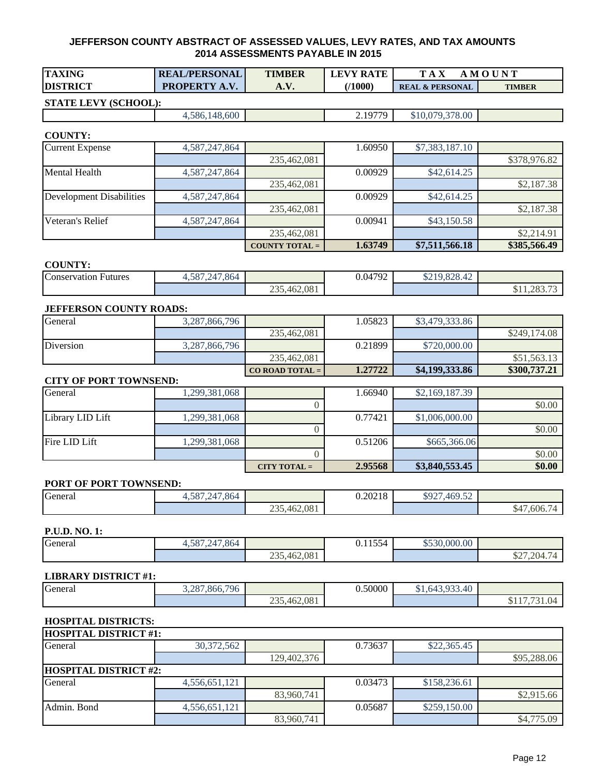| <b>TAXING</b>   | <b>REAL/PERSONAL</b> | <b>TIMBER</b> | $\mathbf{ATE}$<br>LEV<br>RA | $T A \Lambda$<br>M         | <b>OUNT</b>   |
|-----------------|----------------------|---------------|-----------------------------|----------------------------|---------------|
| <b>DISTRICT</b> | <b>PROPERTY A.V.</b> | A.V.          | (1000)                      | <b>REAL &amp; PERSONAL</b> | <b>TIMBER</b> |

#### **STATE LEVY (SCHOOL):**

4,586,148,600 2.19779 \$10,079,378.00

#### **COUNTY:**

| <b>Current Expense</b>   | 4,587,247,864 |                       | 1.60950 | \$7,383,187.10 |              |
|--------------------------|---------------|-----------------------|---------|----------------|--------------|
|                          |               | 235,462,081           |         |                | \$378,976.82 |
| Mental Health            | 4,587,247,864 |                       | 0.00929 | \$42,614.25    |              |
|                          |               | 235,462,081           |         |                | \$2,187.38   |
| Development Disabilities | 4,587,247,864 |                       | 0.00929 | \$42,614.25    |              |
|                          |               | 235,462,081           |         |                | \$2,187.38   |
| Veteran's Relief         | 4,587,247,864 |                       | 0.00941 | \$43,150.58    |              |
|                          |               | 235,462,081           |         |                | \$2,214.91   |
|                          |               | <b>COUNTY TOTAL =</b> | 1.63749 | \$7,511,566.18 | \$385,566.49 |

#### **COUNTY:**

| <b>Conservation Futures</b> | 4.587.247.864 |             | 0.04792 | 0.1000012<br>ч<br>0219.020.42 |                                         |
|-----------------------------|---------------|-------------|---------|-------------------------------|-----------------------------------------|
|                             |               | 235,462,081 |         |                               | $\overline{\phantom{0}}$<br>\$11,283.73 |

#### **JEFFERSON COUNTY ROADS:**

| General   | 3,287,866,796 |                   | .05823  | \$3,479,333.86 |              |
|-----------|---------------|-------------------|---------|----------------|--------------|
|           |               | 235,462,081       |         |                | \$249,174.08 |
| Diversion | 3,287,866,796 |                   | 0.21899 | \$720,000.00   |              |
|           |               | 235,462,081       |         |                | \$51,563.13  |
|           |               | $CO$ ROAD TOTAL = | 1.27722 | \$4,199,333.86 | \$300,737.21 |

#### **CITY OF PORT TOWNSEND:**

| General          | 1,299,381,068 |                | 1.66940 | \$2,169,187.39 |        |
|------------------|---------------|----------------|---------|----------------|--------|
|                  |               |                |         |                | \$0.00 |
| Library LID Lift | 1,299,381,068 |                | 0.77421 | \$1,006,000.00 |        |
|                  |               |                |         |                | \$0.00 |
| Fire LID Lift    | 1,299,381,068 |                | 0.51206 | \$665,366.06   |        |
|                  |               |                |         |                | \$0.00 |
|                  |               | CITY TOTAL $=$ | 2.95568 | \$3,840,553.45 | \$0.00 |

#### **PORT OF PORT TOWNSEND:**

| General | ,587,247,864<br>24. I OC. |             | 0.20218 | \$927,4<br>$469.5^{\circ}$<br>᠇᠀ <i>᠃</i> |                                       |
|---------|---------------------------|-------------|---------|-------------------------------------------|---------------------------------------|
|         |                           | 235,462,081 |         |                                           | $^{\wedge}$ 4 $\Box$<br>4.606.7<br>54 |

#### **P.U.D. NO. 1:**

| General<br>. | ,247,864<br>507<br>.381.24' |             | $\sim$ $\sim$ $\sim$<br>$0.1133 -$ | \$530,000.00 |            |
|--------------|-----------------------------|-------------|------------------------------------|--------------|------------|
|              |                             | 235,462,081 |                                    |              | \$27,204.7 |

#### **LIBRARY DISTRICT #1:**

| General | 1,866,796<br>1287<br>، ب |             | 0.50000 | \$1,643,933.40 |                                                        |
|---------|--------------------------|-------------|---------|----------------|--------------------------------------------------------|
|         |                          | 235,462,081 |         |                | $\overline{a}$<br>$-2$<br>$\mathbf{U}$<br>J.U.<br>, 77 |

#### **HOSPITAL DISTRICTS:**

| <b>HOSPITAL DISTRICT #1:</b> |                              |             |         |              |             |  |  |  |  |
|------------------------------|------------------------------|-------------|---------|--------------|-------------|--|--|--|--|
| General                      | 30,372,562                   |             | 0.73637 | \$22,365.45  |             |  |  |  |  |
|                              |                              | 129,402,376 |         |              | \$95,288.06 |  |  |  |  |
|                              | <b>HOSPITAL DISTRICT #2:</b> |             |         |              |             |  |  |  |  |
| General                      | 4,556,651,121                |             | 0.03473 | \$158,236.61 |             |  |  |  |  |
|                              |                              | 83,960,741  |         |              | \$2,915.66  |  |  |  |  |
| Admin. Bond                  | 4,556,651,121                |             | 0.05687 | \$259,150.00 |             |  |  |  |  |
|                              |                              | 83,960,741  |         |              | \$4,775.09  |  |  |  |  |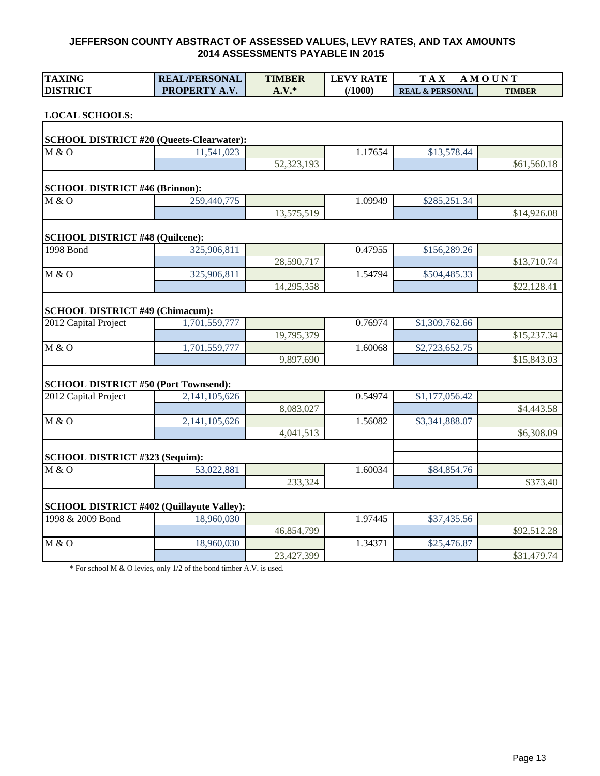| <b>TAXING</b>                               | <b>REAL/PERSONAL</b>                             | <b>TIMBER</b> | <b>LEVY RATE</b> | <b>TAX</b>                 | <b>AMOUNT</b> |
|---------------------------------------------|--------------------------------------------------|---------------|------------------|----------------------------|---------------|
| <b>DISTRICT</b>                             | PROPERTY A.V.                                    | $A.V.*$       | (1000)           | <b>REAL &amp; PERSONAL</b> | <b>TIMBER</b> |
|                                             |                                                  |               |                  |                            |               |
| <b>LOCAL SCHOOLS:</b>                       |                                                  |               |                  |                            |               |
|                                             | <b>SCHOOL DISTRICT #20 (Queets-Clearwater):</b>  |               |                  |                            |               |
| M & O                                       | 11,541,023                                       |               | 1.17654          | \$13,578.44                |               |
|                                             |                                                  | 52,323,193    |                  |                            | \$61,560.18   |
| <b>SCHOOL DISTRICT #46 (Brinnon):</b>       |                                                  |               |                  |                            |               |
| M & O                                       | 259,440,775                                      |               | 1.09949          | \$285,251.34               |               |
|                                             |                                                  | 13,575,519    |                  |                            | \$14,926.08   |
|                                             |                                                  |               |                  |                            |               |
| <b>SCHOOL DISTRICT #48 (Quilcene):</b>      |                                                  |               |                  |                            |               |
| 1998 Bond                                   | 325,906,811                                      |               | 0.47955          | \$156,289.26               |               |
|                                             |                                                  | 28,590,717    |                  |                            | \$13,710.74   |
| M & O                                       | 325,906,811                                      |               | 1.54794          | \$504,485.33               |               |
|                                             |                                                  | 14,295,358    |                  |                            | \$22,128.41   |
| <b>SCHOOL DISTRICT #49 (Chimacum):</b>      |                                                  |               |                  |                            |               |
| 2012 Capital Project                        | 1,701,559,777                                    |               | 0.76974          | \$1,309,762.66             |               |
|                                             |                                                  | 19,795,379    |                  |                            | \$15,237.34   |
| M & O                                       | 1,701,559,777                                    |               | 1.60068          | \$2,723,652.75             |               |
|                                             |                                                  | 9,897,690     |                  |                            | \$15,843.03   |
| <b>SCHOOL DISTRICT #50 (Port Townsend):</b> |                                                  |               |                  |                            |               |
| 2012 Capital Project                        | 2,141,105,626                                    |               | 0.54974          | \$1,177,056.42             |               |
|                                             |                                                  | 8,083,027     |                  |                            | \$4,443.58    |
| M & O                                       | 2,141,105,626                                    |               | 1.56082          | \$3,341,888.07             |               |
|                                             |                                                  | 4,041,513     |                  |                            | \$6,308.09    |
|                                             |                                                  |               |                  |                            |               |
| SCHOOL DISTRICT #323 (Sequim):              |                                                  |               |                  |                            |               |
| M & O                                       | 53,022,881                                       |               | 1.60034          | \$84,854.76                |               |
|                                             |                                                  | 233,324       |                  |                            | \$373.40      |
|                                             | <b>SCHOOL DISTRICT #402 (Quillayute Valley):</b> |               |                  |                            |               |
| 1998 & 2009 Bond                            | 18,960,030                                       |               | 1.97445          | \$37,435.56                |               |
|                                             |                                                  | 46,854,799    |                  |                            | \$92,512.28   |
| M & O                                       | 18,960,030                                       |               | 1.34371          | \$25,476.87                |               |
|                                             |                                                  | 23,427,399    |                  |                            | \$31,479.74   |

\* For school M & O levies, only 1/2 of the bond timber A.V. is used.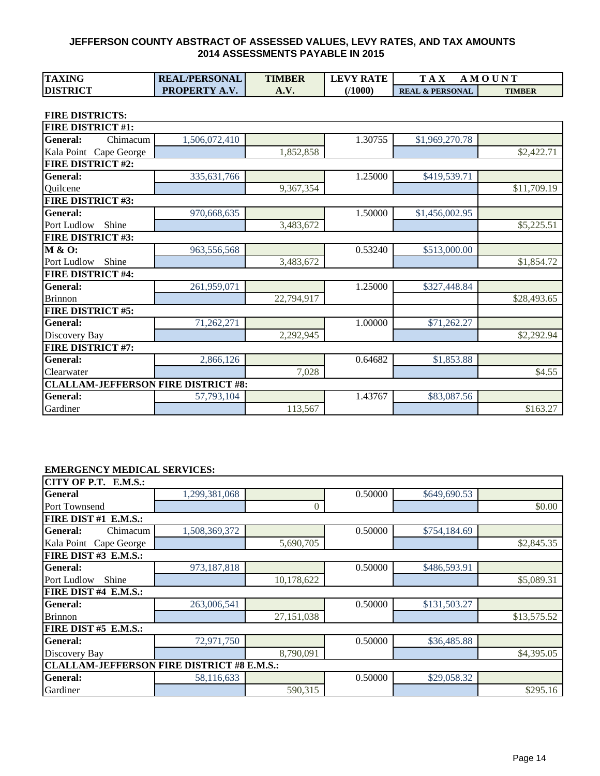| <b>TAXING</b>   | <b>REAL/PERSONAL</b> | <b>TIMBER</b> | <b>LEVY RATE</b> | $T A_A$                    | . M O U N T   |
|-----------------|----------------------|---------------|------------------|----------------------------|---------------|
| <b>DISTRICT</b> | <b>PROPERTY A.V.</b> | A.V           | 71000)           | <b>REAL &amp; PERSONAL</b> | <b>TIMBER</b> |

**FIRE DISTRICTS:**

| <b>FIRE DISTRICT #1:</b>                   |               |            |         |                |             |
|--------------------------------------------|---------------|------------|---------|----------------|-------------|
| <b>General:</b><br>Chimacum                | 1,506,072,410 |            | 1.30755 | \$1,969,270.78 |             |
| Kala Point Cape George                     |               | 1,852,858  |         |                | \$2,422.71  |
| <b>FIRE DISTRICT #2:</b>                   |               |            |         |                |             |
| <b>General:</b>                            | 335,631,766   |            | 1.25000 | \$419,539.71   |             |
| Quilcene                                   |               | 9,367,354  |         |                | \$11,709.19 |
| <b>FIRE DISTRICT #3:</b>                   |               |            |         |                |             |
| <b>General:</b>                            | 970,668,635   |            | 1.50000 | \$1,456,002.95 |             |
| Port Ludlow<br>Shine                       |               | 3,483,672  |         |                | \$5,225.51  |
| <b>FIRE DISTRICT #3:</b>                   |               |            |         |                |             |
| <b>M &amp; O:</b>                          | 963,556,568   |            | 0.53240 | \$513,000.00   |             |
| Port Ludlow<br>Shine                       |               | 3,483,672  |         |                | \$1,854.72  |
| <b>FIRE DISTRICT #4:</b>                   |               |            |         |                |             |
| <b>General:</b>                            | 261,959,071   |            | 1.25000 | \$327,448.84   |             |
| <b>Brinnon</b>                             |               | 22,794,917 |         |                | \$28,493.65 |
| <b>FIRE DISTRICT #5:</b>                   |               |            |         |                |             |
| <b>General:</b>                            | 71,262,271    |            | 1.00000 | \$71,262.27    |             |
| Discovery Bay                              |               | 2,292,945  |         |                | \$2,292.94  |
| <b>FIRE DISTRICT #7:</b>                   |               |            |         |                |             |
| <b>General:</b>                            | 2,866,126     |            | 0.64682 | \$1,853.88     |             |
| Clearwater                                 |               | 7,028      |         |                | \$4.55      |
| <b>CLALLAM-JEFFERSON FIRE DISTRICT #8:</b> |               |            |         |                |             |
| <b>General:</b>                            | 57,793,104    |            | 1.43767 | \$83,087.56    |             |
| Gardiner                                   |               | 113,567    |         |                | \$163.27    |

#### **EMERGENCY MEDICAL SERVICES:**

| CITY OF P.T. E.M.S.:                              |               |            |         |              |             |
|---------------------------------------------------|---------------|------------|---------|--------------|-------------|
| <b>General</b>                                    | 1,299,381,068 |            | 0.50000 | \$649,690.53 |             |
| Port Townsend                                     |               | $\theta$   |         |              | \$0.00      |
| FIRE DIST #1 E.M.S.:                              |               |            |         |              |             |
| General:<br>Chimacum                              | 1,508,369,372 |            | 0.50000 | \$754,184.69 |             |
| Kala Point Cape George                            |               | 5,690,705  |         |              | \$2,845.35  |
| FIRE DIST #3 E.M.S.:                              |               |            |         |              |             |
| General:                                          | 973,187,818   |            | 0.50000 | \$486,593.91 |             |
| Shine<br>Port Ludlow                              |               | 10,178,622 |         |              | \$5,089.31  |
| FIRE DIST #4 E.M.S.:                              |               |            |         |              |             |
| General:                                          | 263,006,541   |            | 0.50000 | \$131,503.27 |             |
| <b>Brinnon</b>                                    |               | 27,151,038 |         |              | \$13,575.52 |
| FIRE DIST #5 E.M.S.:                              |               |            |         |              |             |
| General:                                          | 72,971,750    |            | 0.50000 | \$36,485.88  |             |
| Discovery Bay                                     |               | 8,790,091  |         |              | \$4,395.05  |
| <b>CLALLAM-JEFFERSON FIRE DISTRICT #8 E.M.S.:</b> |               |            |         |              |             |
| General:                                          | 58,116,633    |            | 0.50000 | \$29,058.32  |             |
| Gardiner                                          |               | 590,315    |         |              | \$295.16    |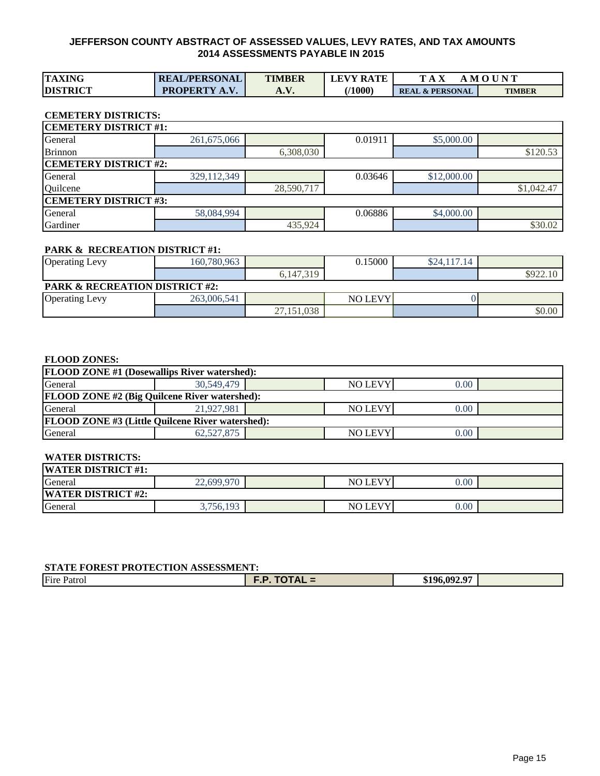| <b>TAXING</b>   | <b>REAL/PERSONAL</b> | <b>TIMBER</b> | <b>LEVY RATE</b> |                            | <b>MOUNT</b>  |
|-----------------|----------------------|---------------|------------------|----------------------------|---------------|
| <b>DISTRICT</b> | <b>PROPERTY A.V.</b> | m. v.         | 71000`           | <b>REAL &amp; PERSONAL</b> | <b>TIMBER</b> |

#### **CEMETERY DISTRICTS:**

| <b>CEMETERY DISTRICT #1:</b> |             |            |         |             |            |  |  |  |  |  |  |  |
|------------------------------|-------------|------------|---------|-------------|------------|--|--|--|--|--|--|--|
| General                      | 261,675,066 |            | 0.01911 | \$5,000.00  |            |  |  |  |  |  |  |  |
| <b>Brinnon</b>               |             | 6,308,030  |         |             | \$120.53   |  |  |  |  |  |  |  |
| <b>CEMETERY DISTRICT #2:</b> |             |            |         |             |            |  |  |  |  |  |  |  |
| General                      | 329,112,349 |            | 0.03646 | \$12,000.00 |            |  |  |  |  |  |  |  |
| Quilcene                     |             | 28,590,717 |         |             | \$1,042.47 |  |  |  |  |  |  |  |
| <b>CEMETERY DISTRICT #3:</b> |             |            |         |             |            |  |  |  |  |  |  |  |
| General                      | 58,084,994  |            | 0.06886 | \$4,000.00  |            |  |  |  |  |  |  |  |
| Gardiner                     |             | 435,924    |         |             | \$30.02    |  |  |  |  |  |  |  |

#### **PARK & RECREATION DISTRICT #1:**

| <b>Operating Levy</b>                     | 160,780,963 |            | 0.15000        | \$24,117.14 |          |  |  |  |  |  |  |
|-------------------------------------------|-------------|------------|----------------|-------------|----------|--|--|--|--|--|--|
|                                           |             | 6.147.319  |                |             | \$922.10 |  |  |  |  |  |  |
| <b>PARK &amp; RECREATION DISTRICT #2:</b> |             |            |                |             |          |  |  |  |  |  |  |
| <b>Operating Levy</b>                     | 263,006,541 |            | <b>NO LEVY</b> |             |          |  |  |  |  |  |  |
|                                           |             | 27,151,038 |                |             | \$0.00   |  |  |  |  |  |  |

#### **FLOOD ZONES:**

| <b>FLOOD ZONE #1 (Dosewallips River watershed):</b>     |              |  |                |      |  |  |  |  |  |  |  |
|---------------------------------------------------------|--------------|--|----------------|------|--|--|--|--|--|--|--|
| General                                                 | 30,549,479   |  | <b>NO LEVY</b> | 0.00 |  |  |  |  |  |  |  |
| <b>FLOOD ZONE #2 (Big Quilcene River watershed):</b>    |              |  |                |      |  |  |  |  |  |  |  |
| General                                                 | 21,927,981   |  | <b>NO LEVY</b> | 0.00 |  |  |  |  |  |  |  |
| <b>FLOOD ZONE #3 (Little Quilcene River watershed):</b> |              |  |                |      |  |  |  |  |  |  |  |
| General                                                 | 62, 527, 875 |  | <b>NO LEVY</b> | 0.00 |  |  |  |  |  |  |  |

#### **WATER DISTRICTS:**

| <b>WATER DISTRICT #1:</b> |            |                 |      |  |
|---------------------------|------------|-----------------|------|--|
| General                   | 22.699.970 | <b>NO LEVYI</b> | 0.00 |  |
| <b>WATER DISTRICT #2:</b> |            |                 |      |  |
| General                   | 3,756,193  | <b>NO LEVY</b>  | 0.00 |  |

#### **STATE FOREST PROTECTION ASSESSMENT:**

| ___<br>.<br>-----<br>----- |                                    |  |
|----------------------------|------------------------------------|--|
| <b>Fire Patrol</b>         | $.96.092$ $07$<br><sup>ተ10</sup> 6 |  |
|                            |                                    |  |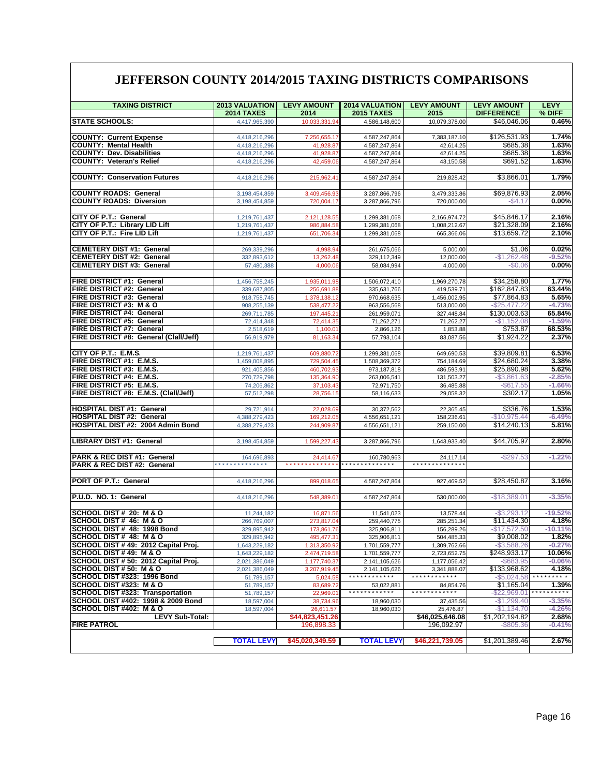### **JEFFERSON COUNTY 2014/2015 TAXING DISTRICTS COMPARISONS**

| <b>TAXING DISTRICT</b>                                         | <b>2013 VALUATION</b>          | <b>LEVY AMOUNT</b>           | <b>2014 VALUATION</b>          | <b>LEVY AMOUNT</b>           | <b>LEVY AMOUNT</b>           | <b>LEVY</b>         |  |  |
|----------------------------------------------------------------|--------------------------------|------------------------------|--------------------------------|------------------------------|------------------------------|---------------------|--|--|
|                                                                | <b>2014 TAXES</b>              | 2014                         | <b>2015 TAXES</b>              | 2015                         | <b>DIFFERENCE</b>            | % DIFF              |  |  |
| <b>STATE SCHOOLS:</b>                                          | 4,417,965,390                  | 10,033,331.94                | 4,586,148,600                  | 10,079,378.00                | \$46,046.06                  | 0.46%               |  |  |
|                                                                |                                |                              |                                |                              |                              |                     |  |  |
| <b>COUNTY: Current Expense</b>                                 | 4,418,216,296                  | 7,256,655.17                 | 4,587,247,864                  | 7,383,187.10                 | \$126,531.93                 | 1.74%               |  |  |
| <b>COUNTY: Mental Health</b>                                   | 4,418,216,296                  | 41,928.87                    | 4,587,247,864                  | 42,614.25                    | \$685.38                     | 1.63%               |  |  |
| <b>COUNTY: Dev. Disabilities</b>                               | 4,418,216,296                  | 41,928.87                    | 4,587,247,864                  | 42,614.25                    | \$685.38                     | 1.63%               |  |  |
| <b>COUNTY: Veteran's Relief</b>                                | 4,418,216,296                  | 42,459.06                    | 4,587,247,864                  | 43,150.58                    | \$691.52                     | 1.63%               |  |  |
|                                                                |                                |                              |                                |                              |                              |                     |  |  |
| <b>COUNTY: Conservation Futures</b>                            | 4,418,216,296                  | 215,962.41                   | 4,587,247,864                  | 219,828.42                   | \$3,866.01                   | 1.79%               |  |  |
|                                                                |                                |                              |                                |                              |                              |                     |  |  |
| <b>COUNTY ROADS: General</b><br><b>COUNTY ROADS: Diversion</b> | 3,198,454,859                  | 3,409,456.93                 | 3,287,866,796                  | 3,479,333.86<br>720,000.00   | \$69,876.93                  | 2.05%<br>0.00%      |  |  |
|                                                                | 3,198,454,859                  | 720,004.17                   | 3,287,866,796                  |                              | $-$ \$4.17                   |                     |  |  |
| CITY OF P.T.: General                                          | 1,219,761,437                  | 2,121,128.55                 | 1,299,381,068                  | 2,166,974.72                 | \$45,846.17                  | 2.16%               |  |  |
| CITY OF P.T.: Library LID Lift                                 | 1,219,761,437                  | 986,884.58                   | 1,299,381,068                  | 1,008,212.67                 | \$21,328.09                  | 2.16%               |  |  |
| CITY OF P.T.: Fire LID Lift                                    | 1,219,761,437                  | 651,706.34                   | 1.299.381.068                  | 665,366.06                   | \$13.659.72                  | 2.10%               |  |  |
|                                                                |                                |                              |                                |                              |                              |                     |  |  |
| <b>CEMETERY DIST #1: General</b>                               | 269,339,296                    | 4,998.94                     | 261,675,066                    | 5,000.00                     | \$1.06                       | 0.02%               |  |  |
| <b>CEMETERY DIST #2: General</b>                               | 332,893,612                    | 13,262.48                    | 329,112,349                    | 12,000.00                    | $-$1,262.48$                 | $-9.52%$            |  |  |
| <b>CEMETERY DIST #3: General</b>                               | 57,480,388                     | 4,000.06                     | 58,084,994                     | 4,000.00                     | $-$0.06$                     | 0.00%               |  |  |
|                                                                |                                |                              |                                |                              |                              |                     |  |  |
| FIRE DISTRICT #1: General                                      | 1,456,758,245                  | 1,935,011.98                 | 1,506,072,410                  | 1,969,270.78                 | \$34,258.80                  | 1.77%               |  |  |
| <b>FIRE DISTRICT #2: General</b>                               | 339,687,805                    | 256,691.88                   | 335,631,766                    | 419,539.71                   | \$162,847.83                 | 63.44%              |  |  |
| FIRE DISTRICT #3: General                                      | 918,758,745                    | 1,378,138.12                 | 970,668,635                    | 1,456,002.95                 | \$77,864.83                  | 5.65%               |  |  |
| <b>FIRE DISTRICT #3: M &amp; O</b>                             | 908,255,139                    | 538,477.22                   | 963,556,568                    | 513,000.00                   | $-$25,477.22$                | $-4.73%$            |  |  |
| FIRE DISTRICT #4: General                                      | 269,711,785                    | 197,445.21                   | 261,959,071                    | 327,448.84                   | \$130,003.63                 | 65.84%              |  |  |
| FIRE DISTRICT #5: General<br><b>FIRE DISTRICT #7: General</b>  | 72,414,348                     | 72,414.35                    | 71,262,271<br>2,866,126        | 71,262.27                    | $-$1,152.08$<br>\$753.87     | $-1.59%$<br>68.53%  |  |  |
| FIRE DISTRICT #8: General (Clall/Jeff)                         | 2,518,619<br>56,919,979        | 1,100.01<br>81,163.34        | 57,793,104                     | 1,853.88<br>83,087.56        | \$1,924.22                   | 2.37%               |  |  |
|                                                                |                                |                              |                                |                              |                              |                     |  |  |
| CITY OF P.T.: E.M.S.                                           | 1,219,761,437                  | 609,880.72                   | 1,299,381,068                  | 649,690.53                   | \$39,809.81                  | 6.53%               |  |  |
| FIRE DISTRICT #1: E.M.S.                                       | 1,459,008,895                  | 729.504.45                   | 1,508,369,372                  | 754,184.69                   | \$24,680.24                  | 3.38%               |  |  |
| <b>FIRE DISTRICT #3: E.M.S.</b>                                | 921,405,856                    | 460,702.93                   | 973,187,818                    | 486,593.91                   | \$25,890.98                  | 5.62%               |  |  |
| FIRE DISTRICT #4: E.M.S.                                       | 270,729,798                    | 135,364.90                   | 263,006,541                    | 131,503.27                   | $-$3,861.63$                 | $-2.85%$            |  |  |
| FIRE DISTRICT #5: E.M.S.                                       | 74,206,862                     | 37,103.43                    | 72,971,750                     | 36,485.88                    | $-$ \$617.55                 | $-1.66%$            |  |  |
| FIRE DISTRICT #8: E.M.S. (Clall/Jeff)                          | 57,512,298                     | 28,756.15                    | 58,116,633                     | 29,058.32                    | \$302.17                     | 1.05%               |  |  |
|                                                                |                                |                              |                                |                              |                              |                     |  |  |
| <b>HOSPITAL DIST #1: General</b>                               | 29,721,914                     | 22,028.69                    | 30,372,562                     | 22,365.45                    | \$336.76                     | 1.53%               |  |  |
| <b>HOSPITAL DIST #2: General</b>                               | 4,388,279,423                  | 169,212.05                   | 4,556,651,121                  | 158,236.61                   | $-$10,975.44$                | $-6.49%$            |  |  |
| HOSPITAL DIST #2: 2004 Admin Bond                              | 4,388,279,423                  | 244,909.87                   | 4,556,651,121                  | 259,150.00                   | \$14,240.13                  | 5.81%               |  |  |
|                                                                |                                |                              |                                |                              |                              |                     |  |  |
| LIBRARY DIST #1: General                                       | 3,198,454,859                  | 1,599,227.43                 | 3,287,866,796                  | 1,643,933.40                 | \$44,705.97                  | 2.80%               |  |  |
| PARK & REC DIST #1: General                                    | 164,696,893                    | 24,414.67                    | 160,780,963                    | 24,117.14                    | $-$297.53$                   | $-1.22%$            |  |  |
| PARK & REC DIST #2: General                                    | .                              | * * * * * * * * * * * * *    | * * * * * * * * * * * * * *    | *************                |                              |                     |  |  |
|                                                                |                                |                              |                                |                              |                              |                     |  |  |
| PORT OF P.T.: General                                          | 4,418,216,296                  | 899,018.65                   | 4,587,247,864                  | 927,469.52                   | \$28,450.87                  | 3.16%               |  |  |
|                                                                |                                |                              |                                |                              |                              |                     |  |  |
| P.U.D. NO. 1: General                                          | 4,418,216,296                  | 548,389.01                   | 4,587,247,864                  | 530,000.00                   | $-$18,389.01$                | $-3.35%$            |  |  |
|                                                                |                                |                              |                                |                              |                              |                     |  |  |
| SCHOOL DIST # 20: M & O                                        | 11,244,182                     | 16,871.56                    | 11,541,023                     | 13,578.44                    | $-$ \$3,293.12               | $-19.52%$           |  |  |
| SCHOOL DIST # 46: M & O                                        | 266,769,007                    | 273,817.04                   | 259,440,775                    | 285,251.34                   | \$11,434.30                  | 4.18%               |  |  |
| SCHOOL DIST # 48: 1998 Bond                                    | 329,895,942                    | 173,861.76                   | 325,906,811                    | 156,289.26                   | $-$17,572.50$                | $-10.11%$           |  |  |
| SCHOOL DIST # 48: M & O                                        | 329,895,942                    | 495,477.31                   | 325,906,811                    | 504,485.33                   | \$9,008.02                   | 1.82%               |  |  |
| SCHOOL DIST # 49: 2012 Capital Proj.<br>SCHOOL DIST #49: M & O | 1,643,229,182                  | 1,313,350.92                 | 1,701,559,777                  | 1,309,762.66                 | $-$ \$3,588.26               | $-0.27%$            |  |  |
| SCHOOL DIST # 50: 2012 Capital Proj.                           | 1,643,229,182<br>2,021,386,049 | 2,474,719.58                 | 1,701,559,777                  | 2,723,652.75<br>1,177,056.42 | \$248,933.17<br>$-$ \$683.95 | 10.06%<br>$-0.06%$  |  |  |
| SCHOOL DIST # 50: M & O                                        | 2,021,386,049                  | 1,177,740.37<br>3,207,919.45 | 2,141,105,626<br>2,141,105,626 | 3,341,888.07                 | \$133,968.62                 | 4.18%               |  |  |
| SCHOOL DIST #323: 1996 Bond                                    | 51,789,157                     | 5,024.58                     | ************                   | * * * * * * * * * * * *      | $-$5,024.58$                 | * * * * * * * * *   |  |  |
| SCHOOL DIST #323: M & O                                        | 51,789,157                     | 83,689.72                    | 53,022,881                     | 84,854.76                    | \$1,165.04                   | 1.39%               |  |  |
| <b>SCHOOL DIST #323: Transportation</b>                        | 51,789,157                     | 22,969.01                    | ************                   | * * * * * * * * * * * *      | $-$ \$22,969.01              | * * * * * * * * * * |  |  |
| SCHOOL DIST #402: 1998 & 2009 Bond                             | 18,597,004                     | 38,734.96                    | 18,960,030                     | 37,435.56                    | $-$1,299.40$                 | $-3.35%$            |  |  |
| SCHOOL DIST #402: M & O                                        | 18,597,004                     | 26,611.57                    | 18,960,030                     | 25,476.87                    | $-$1,134.70$                 | $-4.26%$            |  |  |
| <b>LEVY Sub-Total:</b>                                         |                                | \$44,823,451.26              |                                | \$46,025,646.08              | \$1,202,194.82               | 2.68%               |  |  |
| <b>FIRE PATROL</b>                                             |                                | 196,898.33                   |                                | 196,092.97                   | $-$ \$805.36                 | $-0.41%$            |  |  |
|                                                                |                                |                              |                                |                              |                              |                     |  |  |
|                                                                | <b>TOTAL LEVY</b>              | \$45,020,349.59              | <b>TOTAL LEVY</b>              | \$46,221,739.05              | \$1,201,389.46               | 2.67%               |  |  |
|                                                                |                                |                              |                                |                              |                              |                     |  |  |